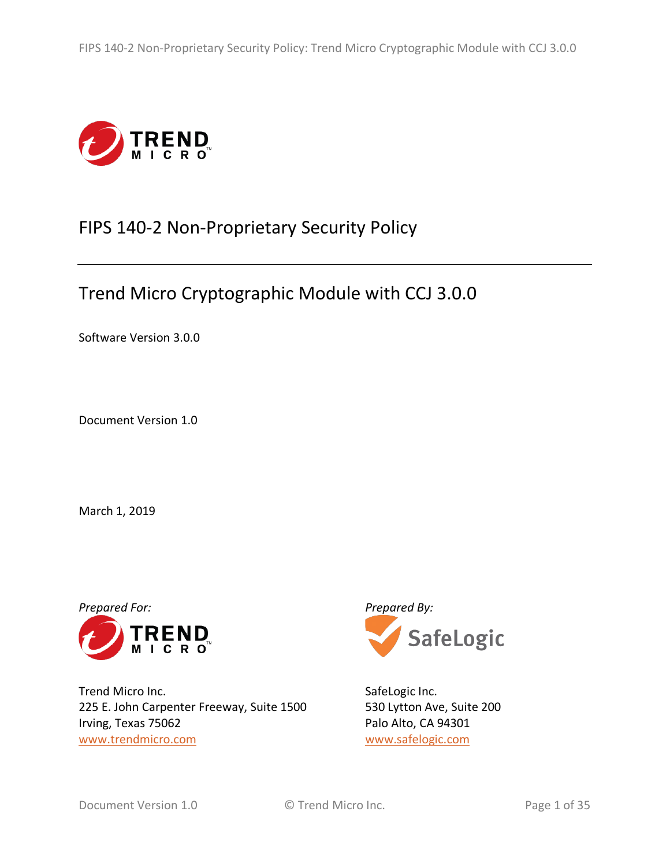

# FIPS 140-2 Non-Proprietary Security Policy

# Trend Micro Cryptographic Module with CCJ 3.0.0

Software Version 3.0.0

Document Version 1.0

March 1, 2019



Trend Micro Inc. 225 E. John Carpenter Freeway, Suite 1500 Irving, Texas 75062 www.trendmicro.com



SafeLogic Inc. 530 Lytton Ave, Suite 200 Palo Alto, CA 94301 www.safelogic.com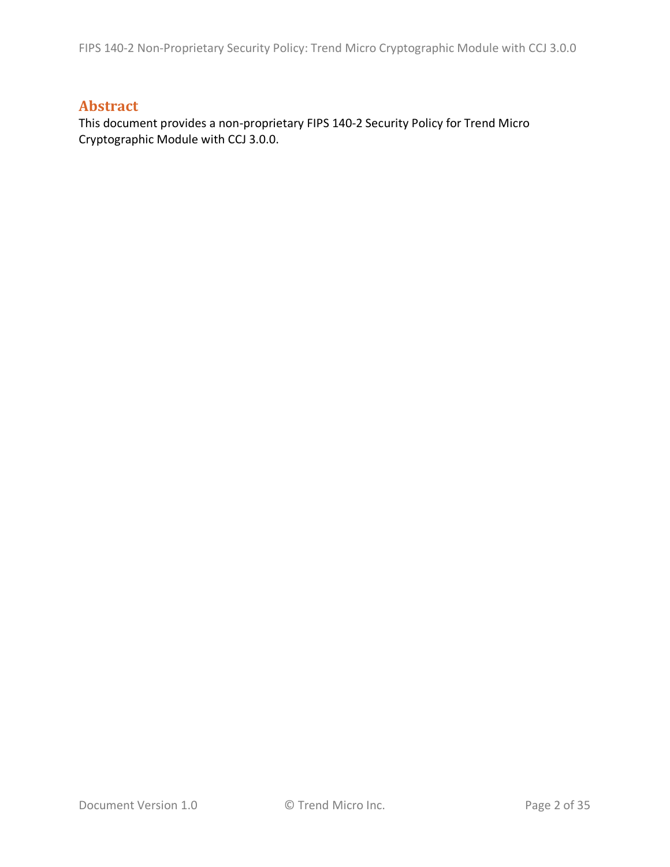## **Abstract**

This document provides a non-proprietary FIPS 140-2 Security Policy for Trend Micro Cryptographic Module with CCJ 3.0.0.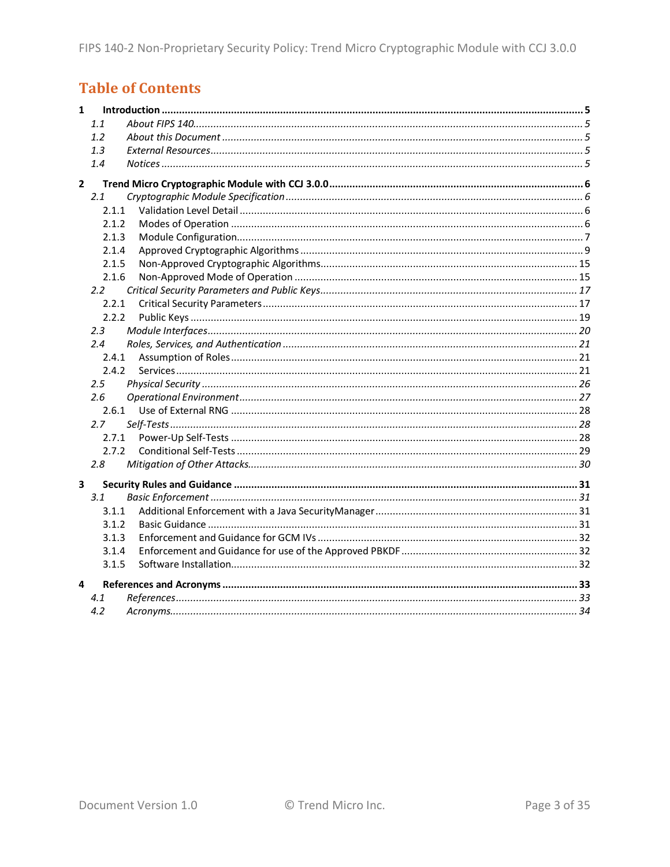## **Table of Contents**

| $\mathbf{1}$            |       |  |
|-------------------------|-------|--|
|                         | 1.1   |  |
|                         | 1.2   |  |
|                         | 1.3   |  |
|                         | 1.4   |  |
| $\overline{2}$          |       |  |
|                         | 2.1   |  |
|                         | 2.1.1 |  |
|                         | 2.1.2 |  |
|                         | 2.1.3 |  |
|                         | 2.1.4 |  |
|                         | 2.1.5 |  |
|                         | 2.1.6 |  |
|                         | 2.2   |  |
|                         | 2.2.1 |  |
|                         | 2.2.2 |  |
|                         | 2.3   |  |
|                         | 2.4   |  |
|                         | 2.4.1 |  |
|                         | 2.4.2 |  |
|                         | 2.5   |  |
|                         | 2.6   |  |
|                         | 2.6.1 |  |
|                         | 2.7   |  |
|                         | 2.7.1 |  |
|                         | 2.7.2 |  |
|                         | 2.8   |  |
| $\overline{\mathbf{3}}$ |       |  |
|                         | 3.1   |  |
|                         | 3.1.1 |  |
|                         | 3.1.2 |  |
|                         | 3.1.3 |  |
|                         | 3.1.4 |  |
|                         | 3.1.5 |  |
| 4                       |       |  |
|                         | 4.1   |  |
|                         | 4.2   |  |
|                         |       |  |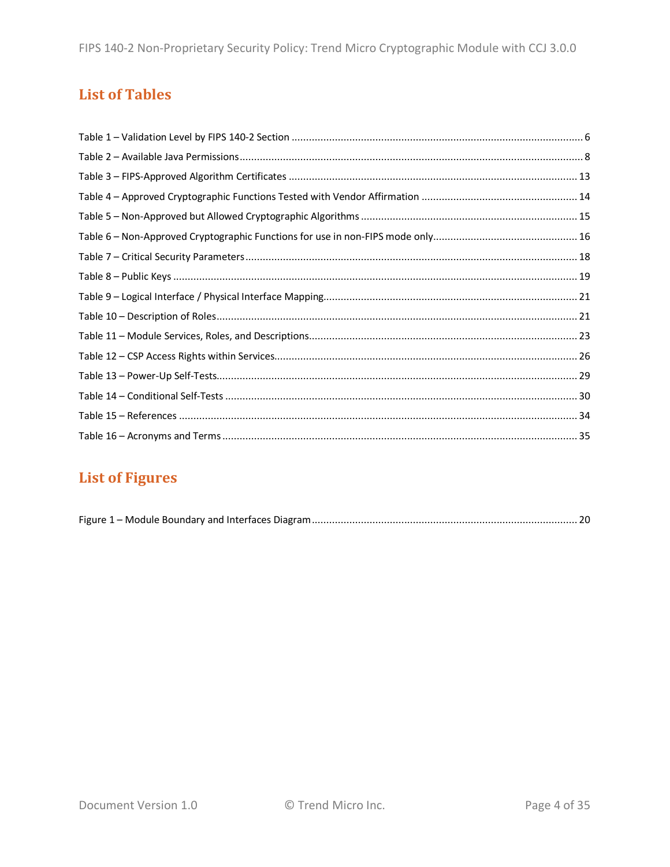## **List of Tables**

## **List of Figures**

|--|--|--|--|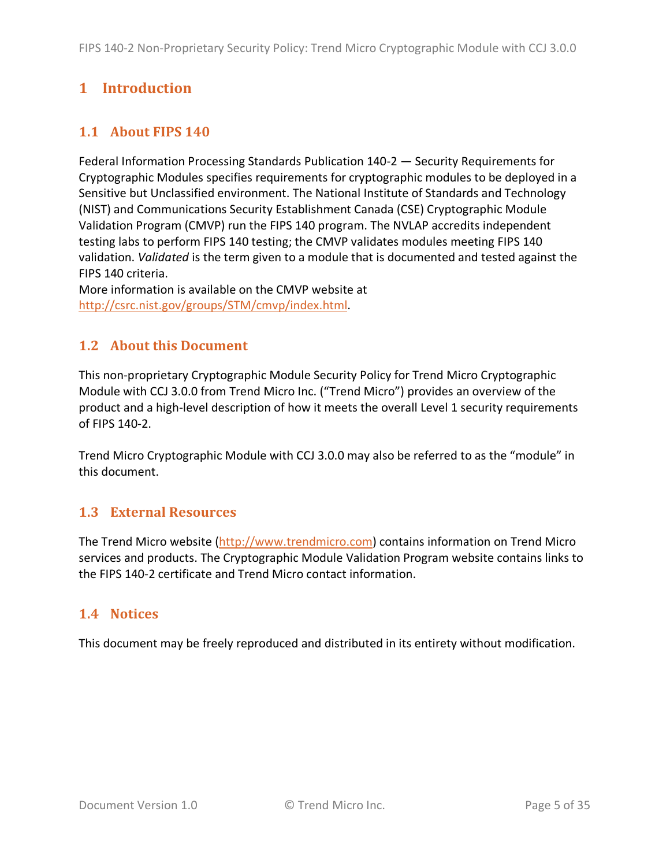## **1 Introduction**

## **1.1 About FIPS 140**

Federal Information Processing Standards Publication 140-2 — Security Requirements for Cryptographic Modules specifies requirements for cryptographic modules to be deployed in a Sensitive but Unclassified environment. The National Institute of Standards and Technology (NIST) and Communications Security Establishment Canada (CSE) Cryptographic Module Validation Program (CMVP) run the FIPS 140 program. The NVLAP accredits independent testing labs to perform FIPS 140 testing; the CMVP validates modules meeting FIPS 140 validation. *Validated* is the term given to a module that is documented and tested against the FIPS 140 criteria.

More information is available on the CMVP website at http://csrc.nist.gov/groups/STM/cmvp/index.html.

## **1.2 About this Document**

This non-proprietary Cryptographic Module Security Policy for Trend Micro Cryptographic Module with CCJ 3.0.0 from Trend Micro Inc. ("Trend Micro") provides an overview of the product and a high-level description of how it meets the overall Level 1 security requirements of FIPS 140-2.

Trend Micro Cryptographic Module with CCJ 3.0.0 may also be referred to as the "module" in this document.

### **1.3 External Resources**

The Trend Micro website (http://www.trendmicro.com) contains information on Trend Micro services and products. The Cryptographic Module Validation Program website contains links to the FIPS 140-2 certificate and Trend Micro contact information.

### **1.4 Notices**

This document may be freely reproduced and distributed in its entirety without modification.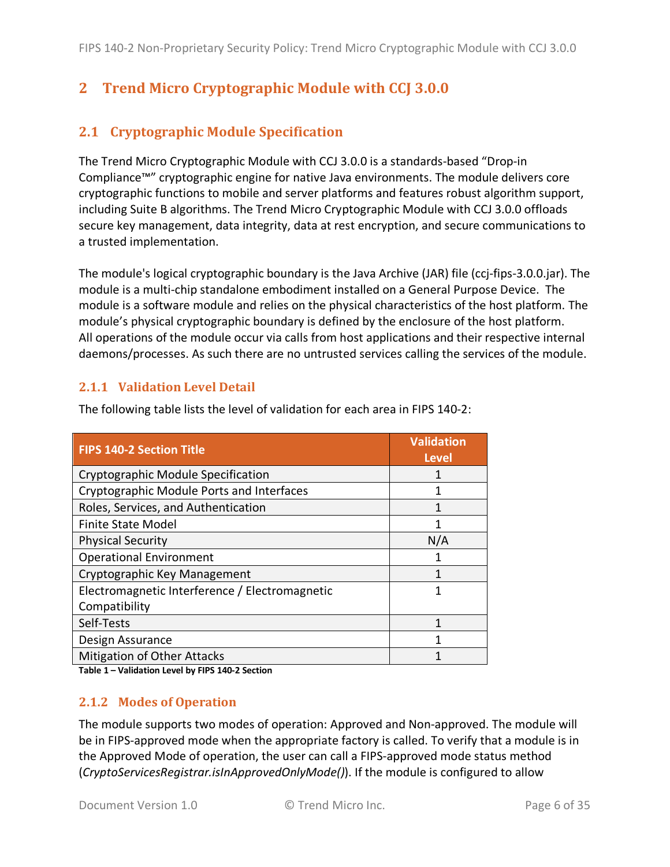## **2 Trend Micro Cryptographic Module with CCJ 3.0.0**

## **2.1 Cryptographic Module Specification**

The Trend Micro Cryptographic Module with CCJ 3.0.0 is a standards-based "Drop-in Compliance™" cryptographic engine for native Java environments. The module delivers core cryptographic functions to mobile and server platforms and features robust algorithm support, including Suite B algorithms. The Trend Micro Cryptographic Module with CCJ 3.0.0 offloads secure key management, data integrity, data at rest encryption, and secure communications to a trusted implementation.

The module's logical cryptographic boundary is the Java Archive (JAR) file (ccj-fips-3.0.0.jar). The module is a multi-chip standalone embodiment installed on a General Purpose Device. The module is a software module and relies on the physical characteristics of the host platform. The module's physical cryptographic boundary is defined by the enclosure of the host platform. All operations of the module occur via calls from host applications and their respective internal daemons/processes. As such there are no untrusted services calling the services of the module.

#### **2.1.1 Validation Level Detail**

| <b>FIPS 140-2 Section Title</b>                | <b>Validation</b><br><b>Level</b> |
|------------------------------------------------|-----------------------------------|
| Cryptographic Module Specification             |                                   |
| Cryptographic Module Ports and Interfaces      | 1                                 |
| Roles, Services, and Authentication            |                                   |
| <b>Finite State Model</b>                      |                                   |
| <b>Physical Security</b>                       | N/A                               |
| <b>Operational Environment</b>                 |                                   |
| Cryptographic Key Management                   |                                   |
| Electromagnetic Interference / Electromagnetic | 1                                 |
| Compatibility                                  |                                   |
| Self-Tests                                     |                                   |
| Design Assurance                               |                                   |
| <b>Mitigation of Other Attacks</b>             |                                   |

The following table lists the level of validation for each area in FIPS 140-2:

**Table 1 – Validation Level by FIPS 140-2 Section**

#### **2.1.2 Modes of Operation**

The module supports two modes of operation: Approved and Non-approved. The module will be in FIPS-approved mode when the appropriate factory is called. To verify that a module is in the Approved Mode of operation, the user can call a FIPS-approved mode status method (*CryptoServicesRegistrar.isInApprovedOnlyMode()*). If the module is configured to allow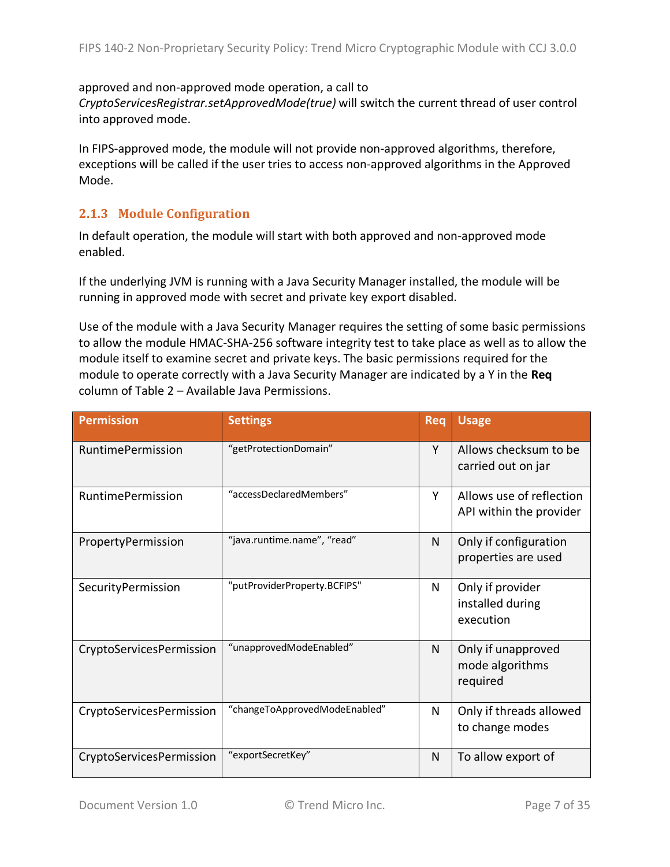#### approved and non-approved mode operation, a call to

*CryptoServicesRegistrar.setApprovedMode(true)* will switch the current thread of user control into approved mode.

In FIPS-approved mode, the module will not provide non-approved algorithms, therefore, exceptions will be called if the user tries to access non-approved algorithms in the Approved Mode.

#### **2.1.3 Module Configuration**

In default operation, the module will start with both approved and non-approved mode enabled.

If the underlying JVM is running with a Java Security Manager installed, the module will be running in approved mode with secret and private key export disabled.

Use of the module with a Java Security Manager requires the setting of some basic permissions to allow the module HMAC-SHA-256 software integrity test to take place as well as to allow the module itself to examine secret and private keys. The basic permissions required for the module to operate correctly with a Java Security Manager are indicated by a Y in the **Req** column of Table 2 – Available Java Permissions.

| <b>Permission</b>        | <b>Settings</b>               | <b>Req</b> | <b>Usage</b>                                        |
|--------------------------|-------------------------------|------------|-----------------------------------------------------|
| <b>RuntimePermission</b> | "getProtectionDomain"         | Y          | Allows checksum to be<br>carried out on jar         |
| RuntimePermission        | "accessDeclaredMembers"       | Υ          | Allows use of reflection<br>API within the provider |
| PropertyPermission       | "java.runtime.name", "read"   | N          | Only if configuration<br>properties are used        |
| SecurityPermission       | "putProviderProperty.BCFIPS"  | N          | Only if provider<br>installed during<br>execution   |
| CryptoServicesPermission | "unapprovedModeEnabled"       | N          | Only if unapproved<br>mode algorithms<br>required   |
| CryptoServicesPermission | "changeToApprovedModeEnabled" | N          | Only if threads allowed<br>to change modes          |
| CryptoServicesPermission | "exportSecretKey"             | N          | To allow export of                                  |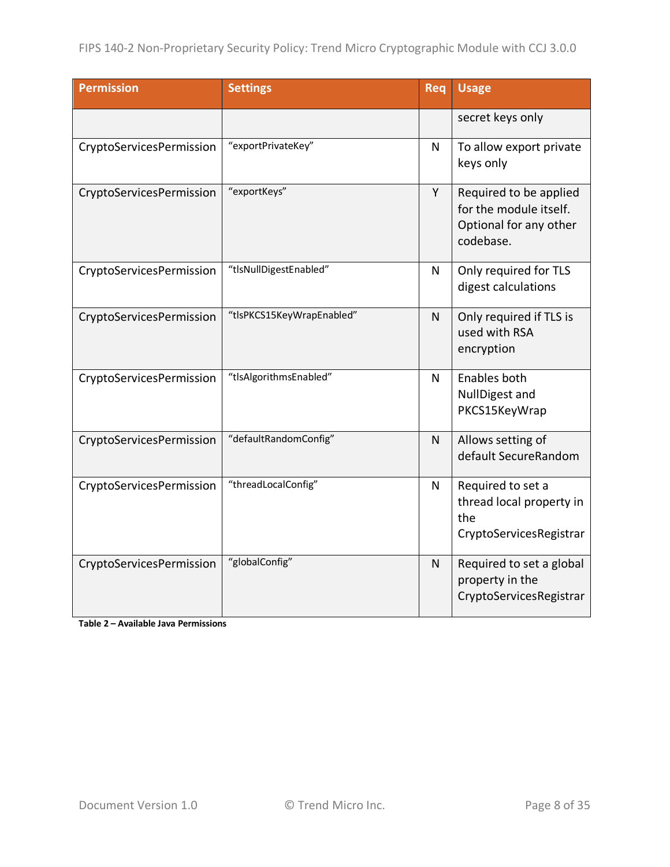| <b>Permission</b>        | <b>Settings</b>           | Req | <b>Usage</b>                                                                            |
|--------------------------|---------------------------|-----|-----------------------------------------------------------------------------------------|
|                          |                           |     | secret keys only                                                                        |
| CryptoServicesPermission | "exportPrivateKey"        | N   | To allow export private<br>keys only                                                    |
| CryptoServicesPermission | "exportKeys"              | Y   | Required to be applied<br>for the module itself.<br>Optional for any other<br>codebase. |
| CryptoServicesPermission | "tlsNullDigestEnabled"    | N   | Only required for TLS<br>digest calculations                                            |
| CryptoServicesPermission | "tlsPKCS15KeyWrapEnabled" | N   | Only required if TLS is<br>used with RSA<br>encryption                                  |
| CryptoServicesPermission | "tlsAlgorithmsEnabled"    | N   | Enables both<br>NullDigest and<br>PKCS15KeyWrap                                         |
| CryptoServicesPermission | "defaultRandomConfig"     | N   | Allows setting of<br>default SecureRandom                                               |
| CryptoServicesPermission | "threadLocalConfig"       | N   | Required to set a<br>thread local property in<br>the<br>CryptoServicesRegistrar         |
| CryptoServicesPermission | "globalConfig"            | N   | Required to set a global<br>property in the<br>CryptoServicesRegistrar                  |

**Table 2 – Available Java Permissions**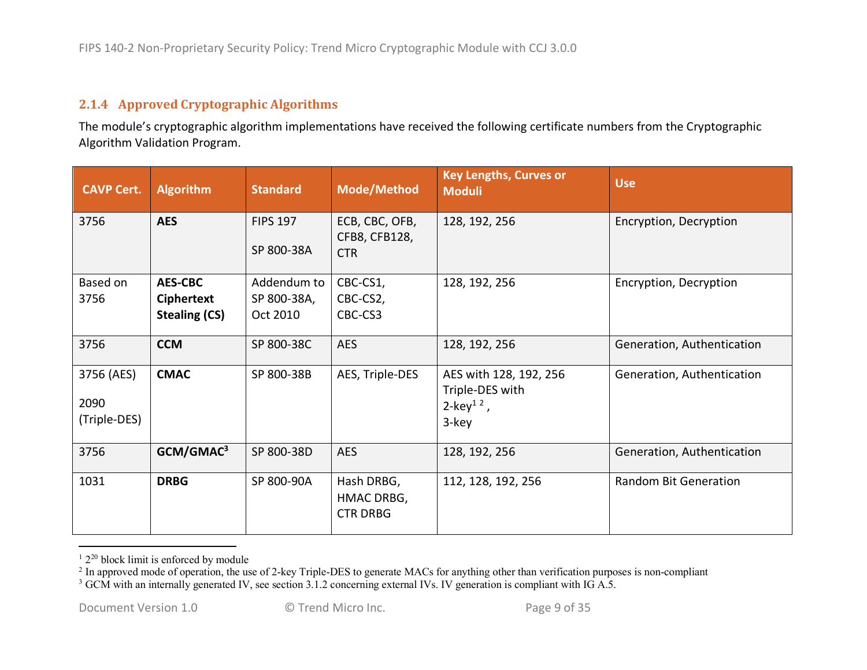### **2.1.4 Approved Cryptographic Algorithms**

The module's cryptographic algorithm implementations have received the following certificate numbers from the Cryptographic Algorithm Validation Program.

| <b>CAVP Cert.</b>                  | <b>Algorithm</b>                                            | <b>Standard</b>                        | Mode/Method                                   | <b>Key Lengths, Curves or</b><br><b>Moduli</b>                              | <b>Use</b>                   |
|------------------------------------|-------------------------------------------------------------|----------------------------------------|-----------------------------------------------|-----------------------------------------------------------------------------|------------------------------|
| 3756                               | <b>AES</b>                                                  | <b>FIPS 197</b><br>SP 800-38A          | ECB, CBC, OFB,<br>CFB8, CFB128,<br><b>CTR</b> | 128, 192, 256                                                               | Encryption, Decryption       |
| Based on<br>3756                   | <b>AES-CBC</b><br><b>Ciphertext</b><br><b>Stealing (CS)</b> | Addendum to<br>SP 800-38A,<br>Oct 2010 | CBC-CS1,<br>CBC-CS2,<br>CBC-CS3               | 128, 192, 256                                                               | Encryption, Decryption       |
| 3756                               | <b>CCM</b>                                                  | SP 800-38C                             | <b>AES</b>                                    | 128, 192, 256                                                               | Generation, Authentication   |
| 3756 (AES)<br>2090<br>(Triple-DES) | <b>CMAC</b>                                                 | SP 800-38B                             | AES, Triple-DES                               | AES with 128, 192, 256<br>Triple-DES with<br>2-key <sup>12</sup> ,<br>3-key | Generation, Authentication   |
| 3756                               | GCM/GMAC <sup>3</sup>                                       | SP 800-38D                             | <b>AES</b>                                    | 128, 192, 256                                                               | Generation, Authentication   |
| 1031                               | <b>DRBG</b>                                                 | SP 800-90A                             | Hash DRBG,<br>HMAC DRBG,<br><b>CTR DRBG</b>   | 112, 128, 192, 256                                                          | <b>Random Bit Generation</b> |

 $12^{20}$  block limit is enforced by module

 $2 \text{ In approved mode of operation, the use of 2-key Triple-DES to generate MACs for anything other than verification purposes is non-compliant.}$ 

<sup>&</sup>lt;sup>3</sup> GCM with an internally generated IV, see section 3.1.2 concerning external IVs. IV generation is compliant with IG A.5.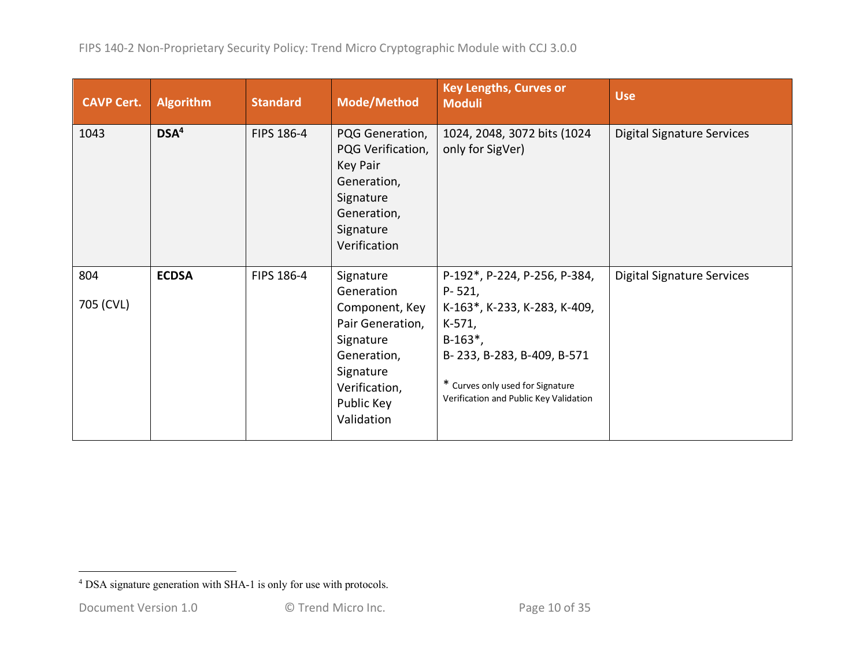| <b>CAVP Cert.</b> | <b>Algorithm</b> | <b>Standard</b> | <b>Mode/Method</b>                                                                                                                                  | <b>Key Lengths, Curves or</b><br><b>Moduli</b>                                                                                                                                                                  | <b>Use</b>                        |
|-------------------|------------------|-----------------|-----------------------------------------------------------------------------------------------------------------------------------------------------|-----------------------------------------------------------------------------------------------------------------------------------------------------------------------------------------------------------------|-----------------------------------|
| 1043              | DSA <sup>4</sup> | FIPS 186-4      | PQG Generation,<br>PQG Verification,<br>Key Pair<br>Generation,<br>Signature<br>Generation,<br>Signature<br>Verification                            | 1024, 2048, 3072 bits (1024<br>only for SigVer)                                                                                                                                                                 | <b>Digital Signature Services</b> |
| 804<br>705 (CVL)  | <b>ECDSA</b>     | FIPS 186-4      | Signature<br>Generation<br>Component, Key<br>Pair Generation,<br>Signature<br>Generation,<br>Signature<br>Verification,<br>Public Key<br>Validation | P-192*, P-224, P-256, P-384,<br>$P - 521,$<br>K-163*, K-233, K-283, K-409,<br>K-571,<br>$B-163^*$ ,<br>B-233, B-283, B-409, B-571<br>* Curves only used for Signature<br>Verification and Public Key Validation | <b>Digital Signature Services</b> |

<sup>&</sup>lt;sup>4</sup> DSA signature generation with SHA-1 is only for use with protocols.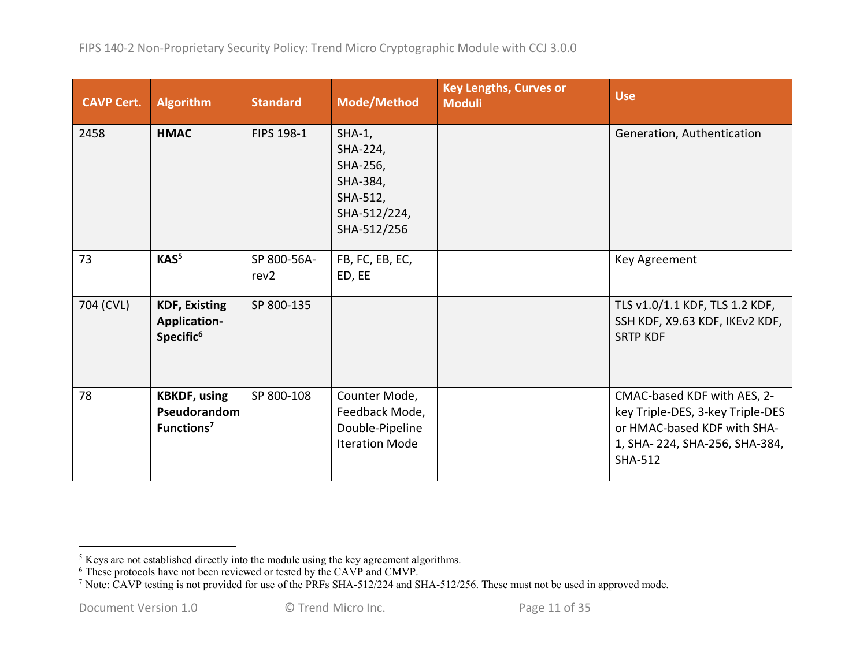| <b>CAVP Cert.</b> | <b>Algorithm</b>                                                     | <b>Standard</b>     | <b>Mode/Method</b>                                                                       | <b>Key Lengths, Curves or</b><br><b>Moduli</b> | <b>Use</b>                                                                                                                                        |
|-------------------|----------------------------------------------------------------------|---------------------|------------------------------------------------------------------------------------------|------------------------------------------------|---------------------------------------------------------------------------------------------------------------------------------------------------|
| 2458              | <b>HMAC</b>                                                          | FIPS 198-1          | $SHA-1$ ,<br>SHA-224,<br>SHA-256,<br>SHA-384,<br>SHA-512,<br>SHA-512/224,<br>SHA-512/256 |                                                | Generation, Authentication                                                                                                                        |
| 73                | KAS <sup>5</sup>                                                     | SP 800-56A-<br>rev2 | FB, FC, EB, EC,<br>ED, EE                                                                |                                                | Key Agreement                                                                                                                                     |
| 704 (CVL)         | <b>KDF, Existing</b><br><b>Application-</b><br>Specific <sup>6</sup> | SP 800-135          |                                                                                          |                                                | TLS v1.0/1.1 KDF, TLS 1.2 KDF,<br>SSH KDF, X9.63 KDF, IKEv2 KDF,<br><b>SRTP KDF</b>                                                               |
| 78                | <b>KBKDF, using</b><br>Pseudorandom<br>Functions <sup>7</sup>        | SP 800-108          | Counter Mode,<br>Feedback Mode,<br>Double-Pipeline<br><b>Iteration Mode</b>              |                                                | CMAC-based KDF with AES, 2-<br>key Triple-DES, 3-key Triple-DES<br>or HMAC-based KDF with SHA-<br>1, SHA-224, SHA-256, SHA-384,<br><b>SHA-512</b> |

<sup>&</sup>lt;sup>5</sup> Keys are not established directly into the module using the key agreement algorithms.

<sup>&</sup>lt;sup>6</sup> These protocols have not been reviewed or tested by the CAVP and CMVP.

<sup>&</sup>lt;sup>7</sup> Note: CAVP testing is not provided for use of the PRFs SHA-512/224 and SHA-512/256. These must not be used in approved mode.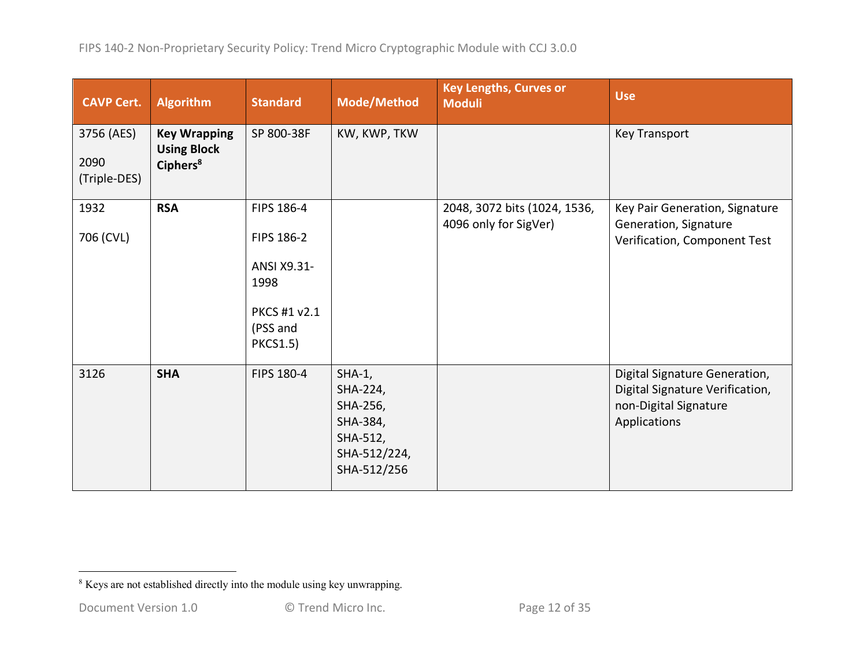| <b>CAVP Cert.</b>                  | <b>Algorithm</b>                                                  | <b>Standard</b>                                                                                | <b>Mode/Method</b>                                                                      | <b>Key Lengths, Curves or</b><br><b>Moduli</b>        | <b>Use</b>                                                                                                |
|------------------------------------|-------------------------------------------------------------------|------------------------------------------------------------------------------------------------|-----------------------------------------------------------------------------------------|-------------------------------------------------------|-----------------------------------------------------------------------------------------------------------|
| 3756 (AES)<br>2090<br>(Triple-DES) | <b>Key Wrapping</b><br><b>Using Block</b><br>Ciphers <sup>8</sup> | SP 800-38F                                                                                     | KW, KWP, TKW                                                                            |                                                       | <b>Key Transport</b>                                                                                      |
| 1932<br>706 (CVL)                  | <b>RSA</b>                                                        | FIPS 186-4<br>FIPS 186-2<br>ANSI X9.31-<br>1998<br>PKCS #1 v2.1<br>(PSS and<br><b>PKCS1.5)</b> |                                                                                         | 2048, 3072 bits (1024, 1536,<br>4096 only for SigVer) | Key Pair Generation, Signature<br>Generation, Signature<br>Verification, Component Test                   |
| 3126                               | <b>SHA</b>                                                        | FIPS 180-4                                                                                     | $SHA-1,$<br>SHA-224,<br>SHA-256,<br>SHA-384,<br>SHA-512,<br>SHA-512/224,<br>SHA-512/256 |                                                       | Digital Signature Generation,<br>Digital Signature Verification,<br>non-Digital Signature<br>Applications |

<sup>&</sup>lt;sup>8</sup> Keys are not established directly into the module using key unwrapping.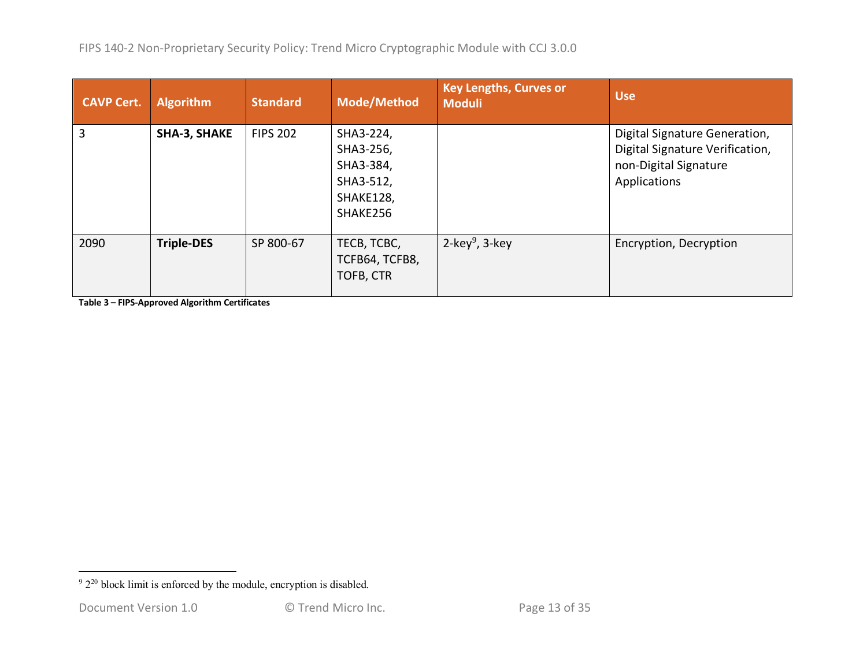| <b>CAVP Cert.</b> | <b>Algorithm</b>  | <b>Standard</b> | <b>Mode/Method</b>                                                        | <b>Key Lengths, Curves or</b><br><b>Moduli</b> | <b>Use</b>                                                                                                |
|-------------------|-------------------|-----------------|---------------------------------------------------------------------------|------------------------------------------------|-----------------------------------------------------------------------------------------------------------|
| 3                 | SHA-3, SHAKE      | <b>FIPS 202</b> | SHA3-224,<br>SHA3-256,<br>SHA3-384,<br>SHA3-512,<br>SHAKE128,<br>SHAKE256 |                                                | Digital Signature Generation,<br>Digital Signature Verification,<br>non-Digital Signature<br>Applications |
| 2090              | <b>Triple-DES</b> | SP 800-67       | TECB, TCBC,<br>TCFB64, TCFB8,<br>TOFB, CTR                                | 2-key <sup>9</sup> , 3-key                     | Encryption, Decryption                                                                                    |

**Table 3 – FIPS-Approved Algorithm Certificates**

 $92^{20}$  block limit is enforced by the module, encryption is disabled.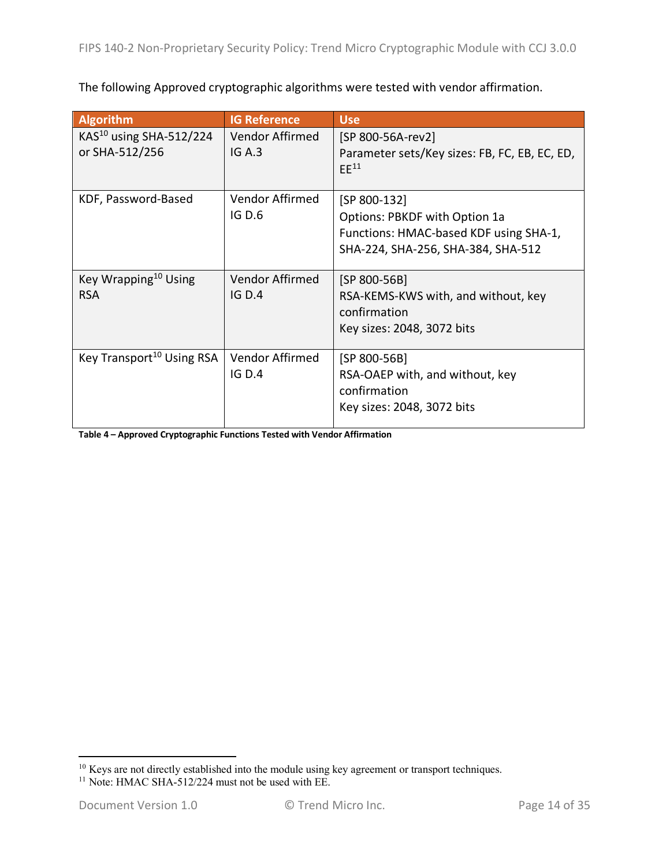The following Approved cryptographic algorithms were tested with vendor affirmation.

| <b>Algorithm</b>                      | <b>IG Reference</b> | <b>Use</b>                                                 |
|---------------------------------------|---------------------|------------------------------------------------------------|
| KAS <sup>10</sup> using SHA-512/224   | Vendor Affirmed     | [SP 800-56A-rev2]                                          |
| or SHA-512/256                        | IG A.3              | Parameter sets/Key sizes: FB, FC, EB, EC, ED,<br>$EE^{11}$ |
| KDF, Password-Based                   | Vendor Affirmed     | [SP 800-132]                                               |
|                                       | <b>IG D.6</b>       | Options: PBKDF with Option 1a                              |
|                                       |                     | Functions: HMAC-based KDF using SHA-1,                     |
|                                       |                     | SHA-224, SHA-256, SHA-384, SHA-512                         |
| Key Wrapping <sup>10</sup> Using      | Vendor Affirmed     | [SP 800-56B]                                               |
| <b>RSA</b>                            | IG D.4              | RSA-KEMS-KWS with, and without, key                        |
|                                       |                     | confirmation                                               |
|                                       |                     | Key sizes: 2048, 3072 bits                                 |
| Key Transport <sup>10</sup> Using RSA | Vendor Affirmed     | [SP 800-56B]                                               |
|                                       | IG D.4              | RSA-OAEP with, and without, key                            |
|                                       |                     | confirmation                                               |
|                                       |                     | Key sizes: 2048, 3072 bits                                 |

**Table 4 – Approved Cryptographic Functions Tested with Vendor Affirmation**

 $10$  Keys are not directly established into the module using key agreement or transport techniques.

<sup>&</sup>lt;sup>11</sup> Note: HMAC SHA-512/224 must not be used with EE.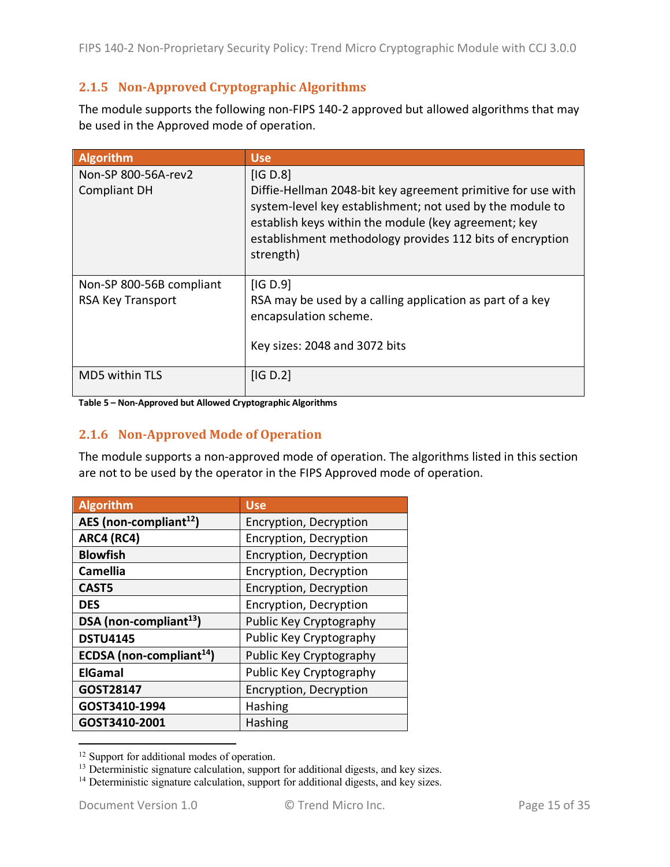## **2.1.5 Non-Approved Cryptographic Algorithms**

The module supports the following non-FIPS 140-2 approved but allowed algorithms that may be used in the Approved mode of operation.

| <b>Algorithm</b>                                     | <b>Use</b>                                                                                                                                                                                                                                                            |
|------------------------------------------------------|-----------------------------------------------------------------------------------------------------------------------------------------------------------------------------------------------------------------------------------------------------------------------|
| Non-SP 800-56A-rev2<br><b>Compliant DH</b>           | IG D.8<br>Diffie-Hellman 2048-bit key agreement primitive for use with<br>system-level key establishment; not used by the module to<br>establish keys within the module (key agreement; key<br>establishment methodology provides 112 bits of encryption<br>strength) |
| Non-SP 800-56B compliant<br><b>RSA Key Transport</b> | [IG D.9]<br>RSA may be used by a calling application as part of a key<br>encapsulation scheme.<br>Key sizes: 2048 and 3072 bits                                                                                                                                       |
| <b>MD5 within TLS</b>                                | IG D.2                                                                                                                                                                                                                                                                |

**Table 5 – Non-Approved but Allowed Cryptographic Algorithms**

#### **2.1.6 Non-Approved Mode of Operation**

The module supports a non-approved mode of operation. The algorithms listed in this section are not to be used by the operator in the FIPS Approved mode of operation.

| Algorithm                            | <b>Use</b>              |
|--------------------------------------|-------------------------|
| AES (non-compliant <sup>12</sup> )   | Encryption, Decryption  |
| ARC4 (RC4)                           | Encryption, Decryption  |
| <b>Blowfish</b>                      | Encryption, Decryption  |
| <b>Camellia</b>                      | Encryption, Decryption  |
| CAST <sub>5</sub>                    | Encryption, Decryption  |
| <b>DES</b>                           | Encryption, Decryption  |
| DSA (non-compliant <sup>13</sup> )   | Public Key Cryptography |
| <b>DSTU4145</b>                      | Public Key Cryptography |
| ECDSA (non-compliant <sup>14</sup> ) | Public Key Cryptography |
| <b>ElGamal</b>                       | Public Key Cryptography |
| GOST28147                            | Encryption, Decryption  |
| GOST3410-1994                        | Hashing                 |
| GOST3410-2001                        | <b>Hashing</b>          |

<sup>&</sup>lt;sup>12</sup> Support for additional modes of operation.

<sup>&</sup>lt;sup>13</sup> Deterministic signature calculation, support for additional digests, and key sizes.

<sup>&</sup>lt;sup>14</sup> Deterministic signature calculation, support for additional digests, and key sizes.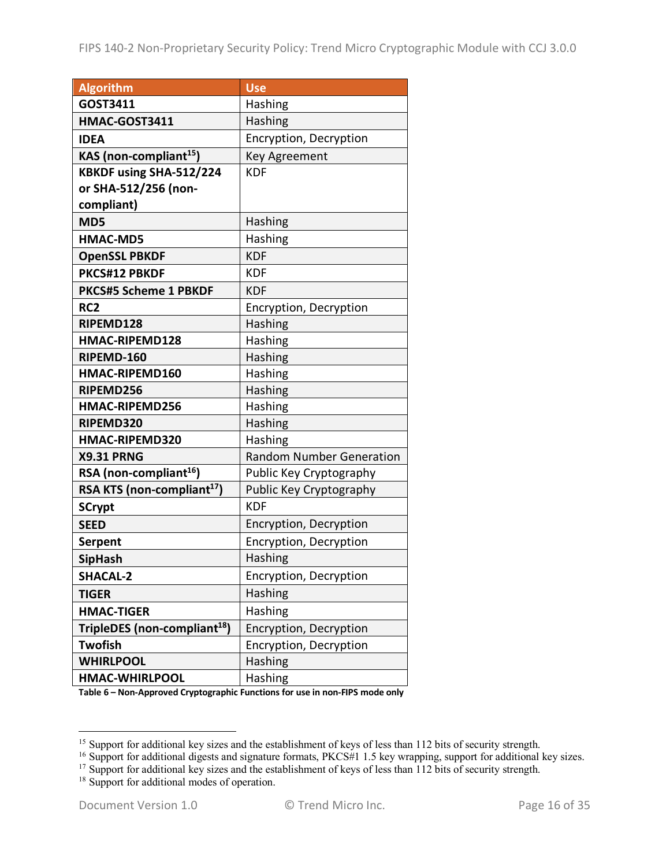| <b>Algorithm</b>                         | <b>Use</b>                      |
|------------------------------------------|---------------------------------|
| GOST3411                                 | Hashing                         |
| HMAC-GOST3411                            | Hashing                         |
| <b>IDEA</b>                              | Encryption, Decryption          |
| KAS (non-compliant <sup>15</sup> )       | Key Agreement                   |
| KBKDF using SHA-512/224                  | <b>KDF</b>                      |
| or SHA-512/256 (non-                     |                                 |
| compliant)                               |                                 |
| MD5                                      | Hashing                         |
| <b>HMAC-MD5</b>                          | Hashing                         |
| <b>OpenSSL PBKDF</b>                     | <b>KDF</b>                      |
| PKCS#12 PBKDF                            | <b>KDF</b>                      |
| <b>PKCS#5 Scheme 1 PBKDF</b>             | <b>KDF</b>                      |
| RC <sub>2</sub>                          | Encryption, Decryption          |
| RIPEMD128                                | Hashing                         |
| <b>HMAC-RIPEMD128</b>                    | Hashing                         |
| RIPEMD-160                               | Hashing                         |
| <b>HMAC-RIPEMD160</b>                    | Hashing                         |
| RIPEMD256                                | Hashing                         |
| HMAC-RIPEMD256                           | Hashing                         |
| RIPEMD320                                | Hashing                         |
| HMAC-RIPEMD320                           | Hashing                         |
| <b>X9.31 PRNG</b>                        | <b>Random Number Generation</b> |
| RSA (non-compliant $16$ )                | Public Key Cryptography         |
| RSA KTS (non-compliant <sup>17</sup> )   | Public Key Cryptography         |
| <b>SCrypt</b>                            | <b>KDF</b>                      |
| <b>SEED</b>                              | Encryption, Decryption          |
| <b>Serpent</b>                           | Encryption, Decryption          |
| <b>SipHash</b>                           | Hashing                         |
| <b>SHACAL-2</b>                          | Encryption, Decryption          |
| <b>TIGER</b>                             | Hashing                         |
| <b>HMAC-TIGER</b>                        | Hashing                         |
| TripleDES (non-compliant <sup>18</sup> ) | Encryption, Decryption          |
| <b>Twofish</b>                           | Encryption, Decryption          |
| <b>WHIRLPOOL</b>                         | Hashing                         |
| <b>HMAC-WHIRLPOOL</b>                    | Hashing                         |

**Table 6 – Non-Approved Cryptographic Functions for use in non-FIPS mode only**

<sup>&</sup>lt;sup>15</sup> Support for additional key sizes and the establishment of keys of less than 112 bits of security strength.

<sup>&</sup>lt;sup>16</sup> Support for additional digests and signature formats, PKCS#1 1.5 key wrapping, support for additional key sizes.

<sup>&</sup>lt;sup>17</sup> Support for additional key sizes and the establishment of keys of less than 112 bits of security strength.

<sup>&</sup>lt;sup>18</sup> Support for additional modes of operation.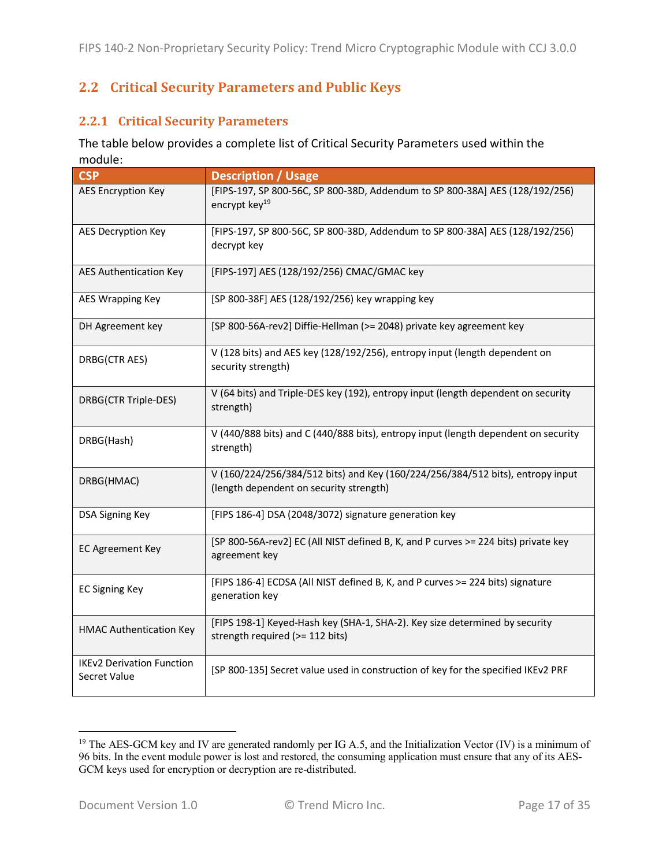## **2.2 Critical Security Parameters and Public Keys**

#### **2.2.1 Critical Security Parameters**

The table below provides a complete list of Critical Security Parameters used within the module:

| <b>CSP</b>                                       | <b>Description / Usage</b>                                                                                                |
|--------------------------------------------------|---------------------------------------------------------------------------------------------------------------------------|
| <b>AES Encryption Key</b>                        | [FIPS-197, SP 800-56C, SP 800-38D, Addendum to SP 800-38A] AES (128/192/256)<br>encrypt key <sup>19</sup>                 |
| AES Decryption Key                               | [FIPS-197, SP 800-56C, SP 800-38D, Addendum to SP 800-38A] AES (128/192/256)<br>decrypt key                               |
| <b>AES Authentication Key</b>                    | [FIPS-197] AES (128/192/256) CMAC/GMAC key                                                                                |
| AES Wrapping Key                                 | [SP 800-38F] AES (128/192/256) key wrapping key                                                                           |
| DH Agreement key                                 | [SP 800-56A-rev2] Diffie-Hellman (>= 2048) private key agreement key                                                      |
| DRBG(CTR AES)                                    | V (128 bits) and AES key (128/192/256), entropy input (length dependent on<br>security strength)                          |
| DRBG(CTR Triple-DES)                             | V (64 bits) and Triple-DES key (192), entropy input (length dependent on security<br>strength)                            |
| DRBG(Hash)                                       | V (440/888 bits) and C (440/888 bits), entropy input (length dependent on security<br>strength)                           |
| DRBG(HMAC)                                       | V (160/224/256/384/512 bits) and Key (160/224/256/384/512 bits), entropy input<br>(length dependent on security strength) |
| DSA Signing Key                                  | [FIPS 186-4] DSA (2048/3072) signature generation key                                                                     |
| <b>EC Agreement Key</b>                          | [SP 800-56A-rev2] EC (All NIST defined B, K, and P curves >= 224 bits) private key<br>agreement key                       |
| <b>EC Signing Key</b>                            | [FIPS 186-4] ECDSA (All NIST defined B, K, and P curves >= 224 bits) signature<br>generation key                          |
| <b>HMAC Authentication Key</b>                   | [FIPS 198-1] Keyed-Hash key (SHA-1, SHA-2). Key size determined by security<br>strength required (>= 112 bits)            |
| <b>IKEv2 Derivation Function</b><br>Secret Value | [SP 800-135] Secret value used in construction of key for the specified IKEv2 PRF                                         |

<sup>&</sup>lt;sup>19</sup> The AES-GCM key and IV are generated randomly per IG A.5, and the Initialization Vector (IV) is a minimum of 96 bits. In the event module power is lost and restored, the consuming application must ensure that any of its AES-GCM keys used for encryption or decryption are re-distributed.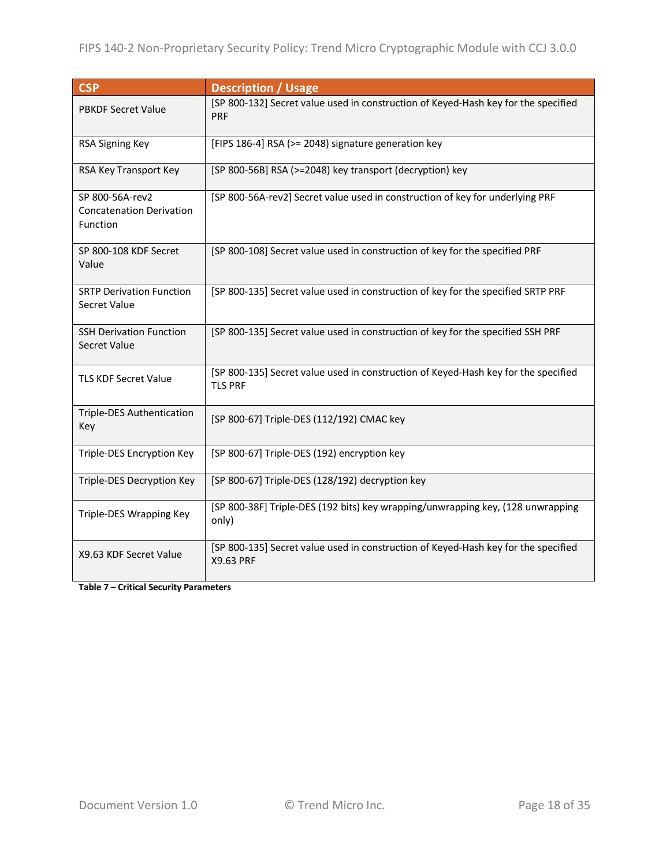| <b>CSP</b>                                                     | <b>Description / Usage</b>                                                                           |
|----------------------------------------------------------------|------------------------------------------------------------------------------------------------------|
| <b>PBKDF Secret Value</b>                                      | [SP 800-132] Secret value used in construction of Keyed-Hash key for the specified<br>PRF            |
| RSA Signing Key                                                | [FIPS 186-4] RSA (>= 2048) signature generation key                                                  |
| RSA Key Transport Key                                          | [SP 800-56B] RSA (>=2048) key transport (decryption) key                                             |
| SP 800-56A-rev2<br><b>Concatenation Derivation</b><br>Function | [SP 800-56A-rev2] Secret value used in construction of key for underlying PRF                        |
| SP 800-108 KDF Secret<br>Value                                 | [SP 800-108] Secret value used in construction of key for the specified PRF                          |
| <b>SRTP Derivation Function</b><br>Secret Value                | [SP 800-135] Secret value used in construction of key for the specified SRTP PRF                     |
| <b>SSH Derivation Function</b><br>Secret Value                 | [SP 800-135] Secret value used in construction of key for the specified SSH PRF                      |
| <b>TLS KDF Secret Value</b>                                    | [SP 800-135] Secret value used in construction of Keyed-Hash key for the specified<br><b>TLS PRF</b> |
| Triple-DES Authentication<br>Key                               | [SP 800-67] Triple-DES (112/192) CMAC key                                                            |
| Triple-DES Encryption Key                                      | [SP 800-67] Triple-DES (192) encryption key                                                          |
| Triple-DES Decryption Key                                      | [SP 800-67] Triple-DES (128/192) decryption key                                                      |
| Triple-DES Wrapping Key                                        | [SP 800-38F] Triple-DES (192 bits) key wrapping/unwrapping key, (128 unwrapping<br>only)             |
| X9.63 KDF Secret Value                                         | [SP 800-135] Secret value used in construction of Keyed-Hash key for the specified<br>X9.63 PRF      |

**Table 7 – Critical Security Parameters**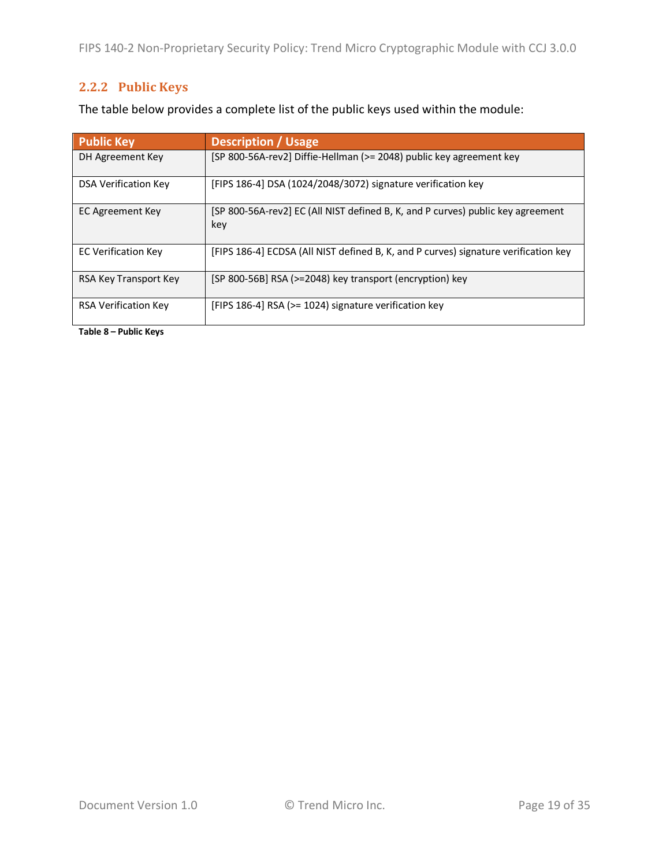## **2.2.2 Public Keys**

The table below provides a complete list of the public keys used within the module:

| <b>Public Key</b>           | <b>Description / Usage</b>                                                             |
|-----------------------------|----------------------------------------------------------------------------------------|
| DH Agreement Key            | [SP 800-56A-rev2] Diffie-Hellman (>= 2048) public key agreement key                    |
| <b>DSA Verification Kev</b> | [FIPS 186-4] DSA (1024/2048/3072) signature verification key                           |
| EC Agreement Key            | [SP 800-56A-rev2] EC (All NIST defined B, K, and P curves) public key agreement<br>key |
| <b>EC Verification Key</b>  | [FIPS 186-4] ECDSA (All NIST defined B, K, and P curves) signature verification key    |
| RSA Key Transport Key       | [SP 800-56B] RSA (>=2048) key transport (encryption) key                               |
| <b>RSA Verification Kev</b> | [FIPS 186-4] RSA ( $>$ = 1024) signature verification key                              |

**Table 8 – Public Keys**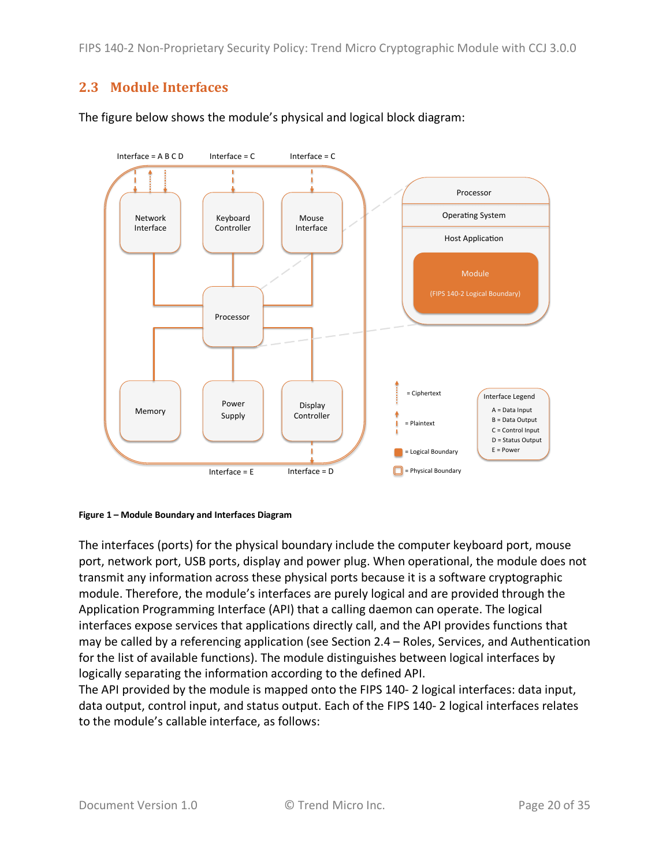### **2.3 Module Interfaces**

The figure below shows the module's physical and logical block diagram:





The interfaces (ports) for the physical boundary include the computer keyboard port, mouse port, network port, USB ports, display and power plug. When operational, the module does not transmit any information across these physical ports because it is a software cryptographic module. Therefore, the module's interfaces are purely logical and are provided through the Application Programming Interface (API) that a calling daemon can operate. The logical interfaces expose services that applications directly call, and the API provides functions that may be called by a referencing application (see Section 2.4 – Roles, Services, and Authentication for the list of available functions). The module distinguishes between logical interfaces by logically separating the information according to the defined API.

The API provided by the module is mapped onto the FIPS 140- 2 logical interfaces: data input, data output, control input, and status output. Each of the FIPS 140- 2 logical interfaces relates to the module's callable interface, as follows: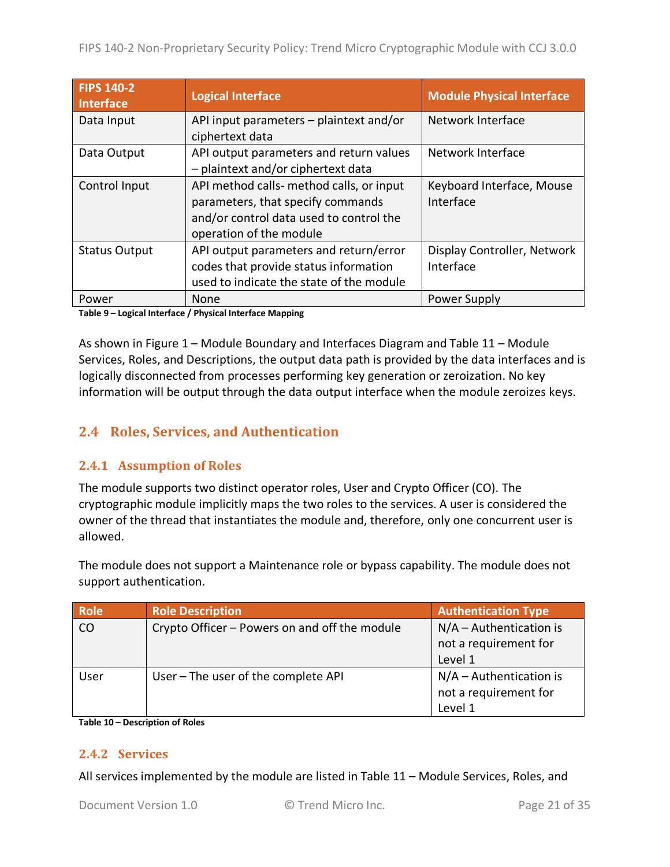| <b>FIPS 140-2</b><br><b>Interface</b> | <b>Logical Interface</b>                                                                                                                            | <b>Module Physical Interface</b>         |
|---------------------------------------|-----------------------------------------------------------------------------------------------------------------------------------------------------|------------------------------------------|
| Data Input                            | API input parameters - plaintext and/or<br>ciphertext data                                                                                          | Network Interface                        |
| Data Output                           | API output parameters and return values<br>- plaintext and/or ciphertext data                                                                       | Network Interface                        |
| Control Input                         | API method calls- method calls, or input<br>parameters, that specify commands<br>and/or control data used to control the<br>operation of the module | Keyboard Interface, Mouse<br>Interface   |
| <b>Status Output</b>                  | API output parameters and return/error<br>codes that provide status information<br>used to indicate the state of the module                         | Display Controller, Network<br>Interface |
| Power                                 | None                                                                                                                                                | <b>Power Supply</b>                      |

**Table 9 – Logical Interface / Physical Interface Mapping**

As shown in Figure 1 – Module Boundary and Interfaces Diagram and Table 11 – Module Services, Roles, and Descriptions, the output data path is provided by the data interfaces and is logically disconnected from processes performing key generation or zeroization. No key information will be output through the data output interface when the module zeroizes keys.

## **2.4 Roles, Services, and Authentication**

#### **2.4.1 Assumption of Roles**

The module supports two distinct operator roles, User and Crypto Officer (CO). The cryptographic module implicitly maps the two roles to the services. A user is considered the owner of the thread that instantiates the module and, therefore, only one concurrent user is allowed.

The module does not support a Maintenance role or bypass capability. The module does not support authentication.

| <b>Role</b> | <b>Role Description</b>                       | <b>Authentication Type</b> |
|-------------|-----------------------------------------------|----------------------------|
| CO          | Crypto Officer - Powers on and off the module | $N/A -$ Authentication is  |
|             |                                               | not a requirement for      |
|             |                                               | Level 1                    |
| User        | User - The user of the complete API           | $N/A -$ Authentication is  |
|             |                                               | not a requirement for      |
|             |                                               | Level 1                    |

**Table 10 – Description of Roles**

#### **2.4.2 Services**

All services implemented by the module are listed in Table 11 – Module Services, Roles, and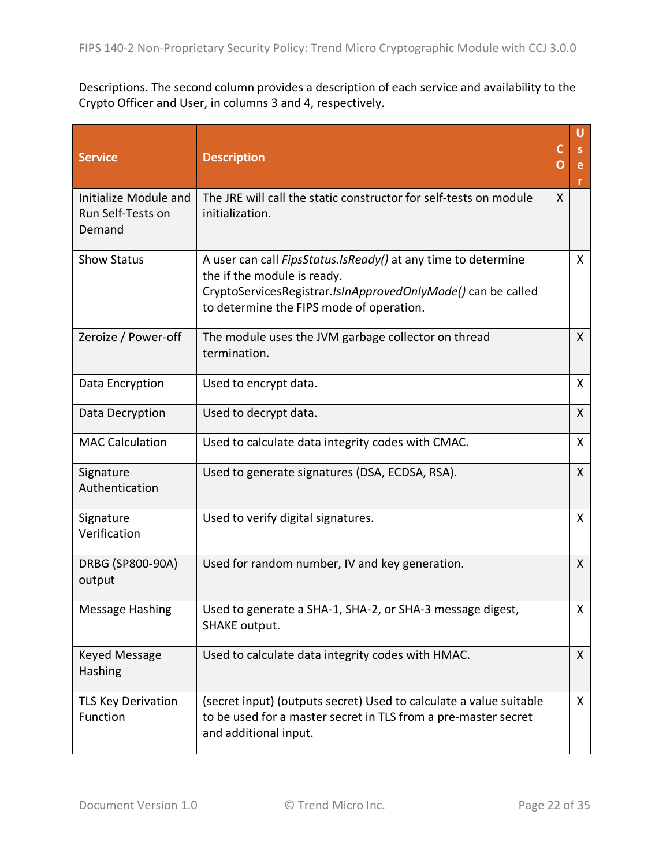Descriptions. The second column provides a description of each service and availability to the Crypto Officer and User, in columns 3 and 4, respectively.

| <b>Service</b>                                       | <b>Description</b>                                                                                                                                                                                              | C<br>O | U<br>e<br>r  |
|------------------------------------------------------|-----------------------------------------------------------------------------------------------------------------------------------------------------------------------------------------------------------------|--------|--------------|
| Initialize Module and<br>Run Self-Tests on<br>Demand | The JRE will call the static constructor for self-tests on module<br>initialization.                                                                                                                            | X      |              |
| <b>Show Status</b>                                   | A user can call <i>FipsStatus.IsReady()</i> at any time to determine<br>the if the module is ready.<br>CryptoServicesRegistrar.IsInApprovedOnlyMode() can be called<br>to determine the FIPS mode of operation. |        | X            |
| Zeroize / Power-off                                  | The module uses the JVM garbage collector on thread<br>termination.                                                                                                                                             |        | $\mathsf{X}$ |
| Data Encryption                                      | Used to encrypt data.                                                                                                                                                                                           |        | $\mathsf{X}$ |
| Data Decryption                                      | Used to decrypt data.                                                                                                                                                                                           |        | $\mathsf{X}$ |
| <b>MAC Calculation</b>                               | Used to calculate data integrity codes with CMAC.                                                                                                                                                               |        | X            |
| Signature<br>Authentication                          | Used to generate signatures (DSA, ECDSA, RSA).                                                                                                                                                                  |        | $\mathsf{X}$ |
| Signature<br>Verification                            | Used to verify digital signatures.                                                                                                                                                                              |        | X            |
| DRBG (SP800-90A)<br>output                           | Used for random number, IV and key generation.                                                                                                                                                                  |        | X            |
| <b>Message Hashing</b>                               | Used to generate a SHA-1, SHA-2, or SHA-3 message digest,<br><b>SHAKE output.</b>                                                                                                                               |        | X            |
| Keyed Message<br>Hashing                             | Used to calculate data integrity codes with HMAC.                                                                                                                                                               |        | $\mathsf{X}$ |
| <b>TLS Key Derivation</b><br>Function                | (secret input) (outputs secret) Used to calculate a value suitable<br>to be used for a master secret in TLS from a pre-master secret<br>and additional input.                                                   |        | X            |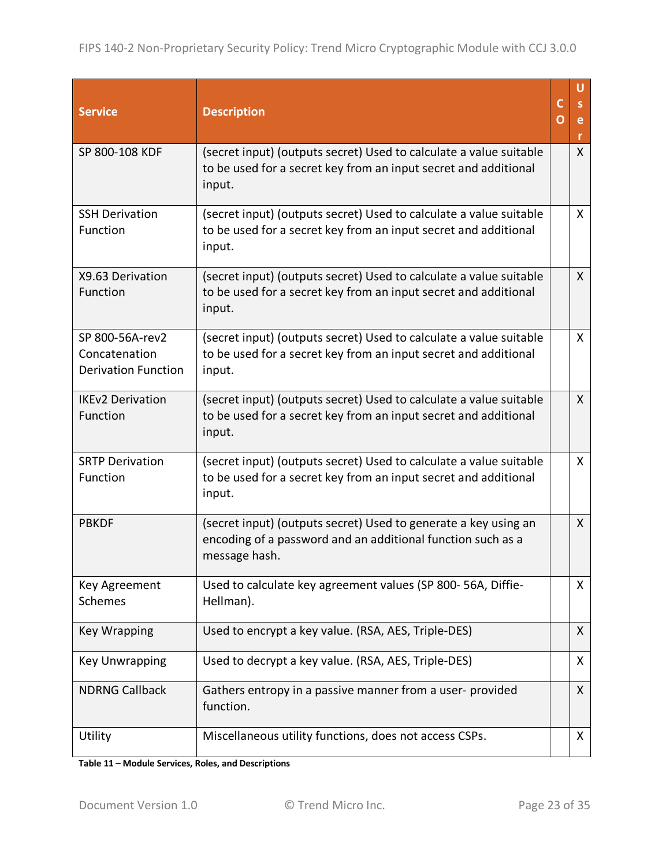| <b>Service</b>                                                 | <b>Description</b>                                                                                                                              | c<br>O | U<br>S.<br>e<br>r |
|----------------------------------------------------------------|-------------------------------------------------------------------------------------------------------------------------------------------------|--------|-------------------|
| SP 800-108 KDF                                                 | (secret input) (outputs secret) Used to calculate a value suitable<br>to be used for a secret key from an input secret and additional<br>input. |        | $\mathsf{X}$      |
| <b>SSH Derivation</b><br>Function                              | (secret input) (outputs secret) Used to calculate a value suitable<br>to be used for a secret key from an input secret and additional<br>input. |        | $\mathsf{X}$      |
| X9.63 Derivation<br>Function                                   | (secret input) (outputs secret) Used to calculate a value suitable<br>to be used for a secret key from an input secret and additional<br>input. |        | X                 |
| SP 800-56A-rev2<br>Concatenation<br><b>Derivation Function</b> | (secret input) (outputs secret) Used to calculate a value suitable<br>to be used for a secret key from an input secret and additional<br>input. |        | $\mathsf{X}$      |
| <b>IKEv2 Derivation</b><br>Function                            | (secret input) (outputs secret) Used to calculate a value suitable<br>to be used for a secret key from an input secret and additional<br>input. |        | $\mathsf{X}$      |
| <b>SRTP Derivation</b><br>Function                             | (secret input) (outputs secret) Used to calculate a value suitable<br>to be used for a secret key from an input secret and additional<br>input. |        | $\mathsf{X}$      |
| <b>PBKDF</b>                                                   | (secret input) (outputs secret) Used to generate a key using an<br>encoding of a password and an additional function such as a<br>message hash. |        | $\mathsf{X}$      |
| Key Agreement<br>Schemes                                       | Used to calculate key agreement values (SP 800-56A, Diffie-<br>Hellman).                                                                        |        | X                 |
| <b>Key Wrapping</b>                                            | Used to encrypt a key value. (RSA, AES, Triple-DES)                                                                                             |        | X                 |
| <b>Key Unwrapping</b>                                          | Used to decrypt a key value. (RSA, AES, Triple-DES)                                                                                             |        | X                 |
| <b>NDRNG Callback</b>                                          | Gathers entropy in a passive manner from a user-provided<br>function.                                                                           |        | X                 |
| Utility                                                        | Miscellaneous utility functions, does not access CSPs.                                                                                          |        | X                 |

**Table 11 – Module Services, Roles, and Descriptions**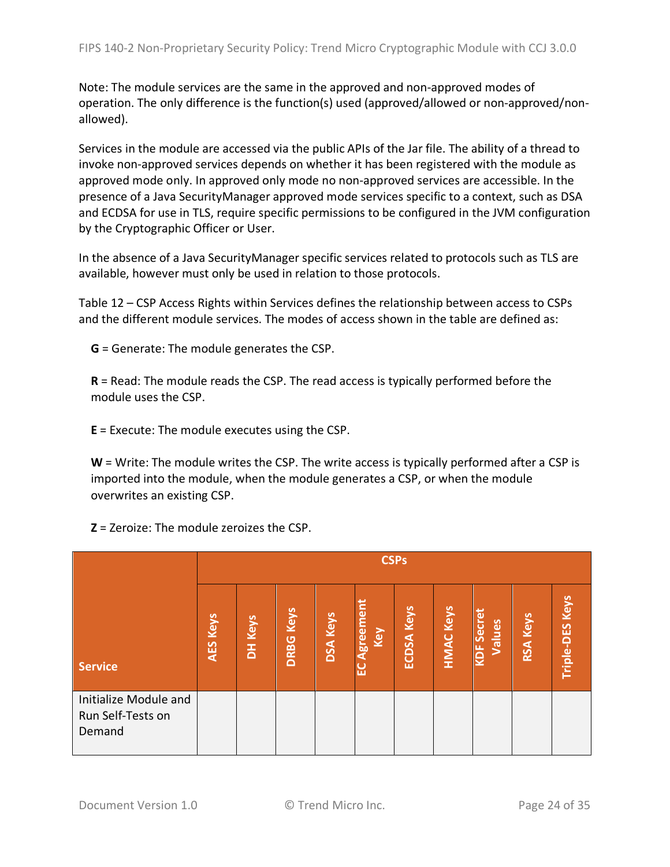Note: The module services are the same in the approved and non-approved modes of operation. The only difference is the function(s) used (approved/allowed or non-approved/nonallowed).

Services in the module are accessed via the public APIs of the Jar file. The ability of a thread to invoke non-approved services depends on whether it has been registered with the module as approved mode only. In approved only mode no non-approved services are accessible. In the presence of a Java SecurityManager approved mode services specific to a context, such as DSA and ECDSA for use in TLS, require specific permissions to be configured in the JVM configuration by the Cryptographic Officer or User.

In the absence of a Java SecurityManager specific services related to protocols such as TLS are available, however must only be used in relation to those protocols.

Table 12 – CSP Access Rights within Services defines the relationship between access to CSPs and the different module services. The modes of access shown in the table are defined as:

**G** = Generate: The module generates the CSP.

**R** = Read: The module reads the CSP. The read access is typically performed before the module uses the CSP.

**E** = Execute: The module executes using the CSP.

**W** = Write: The module writes the CSP. The write access is typically performed after a CSP is imported into the module, when the module generates a CSP, or when the module overwrites an existing CSP.

**Z** = Zeroize: The module zeroizes the CSP.

|                                                      |                 | <b>CSPs</b> |                  |                 |                              |                   |                  |                             |                 |                 |
|------------------------------------------------------|-----------------|-------------|------------------|-----------------|------------------------------|-------------------|------------------|-----------------------------|-----------------|-----------------|
| <b>Service</b>                                       | <b>AES Keys</b> | DH Keys     | <b>DRBG Keys</b> | <b>DSA Keys</b> | <b>greemen</b><br>Key<br>ပ္မ | <b>ECDSA Keys</b> | <b>HMAC Keys</b> | <b>KDF Secret</b><br>Values | <b>RSA Keys</b> | Triple-DES Keys |
| Initialize Module and<br>Run Self-Tests on<br>Demand |                 |             |                  |                 |                              |                   |                  |                             |                 |                 |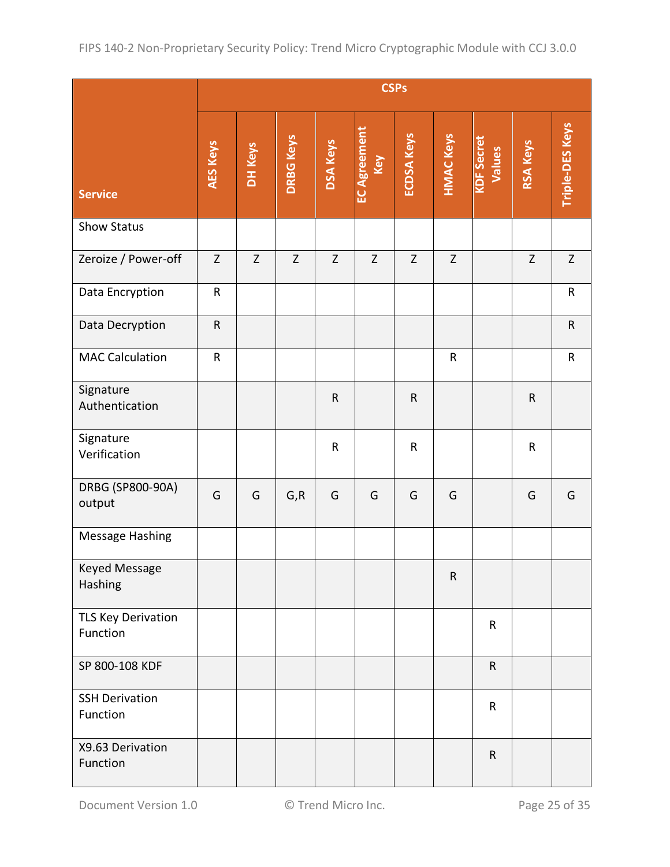|                                   | <b>CSPs</b>  |         |                  |                 |                            |                   |                  |                             |                 |                 |
|-----------------------------------|--------------|---------|------------------|-----------------|----------------------------|-------------------|------------------|-----------------------------|-----------------|-----------------|
| <b>Service</b>                    | AES Keys     | DH Keys | <b>DRBG Keys</b> | <b>DSA Keys</b> | <b>EC Agreement</b><br>Key | <b>ECDSA Keys</b> | <b>HMAC Keys</b> | <b>KDF</b> Secret<br>Values | <b>RSA Keys</b> | Triple-DES Keys |
| <b>Show Status</b>                |              |         |                  |                 |                            |                   |                  |                             |                 |                 |
| Zeroize / Power-off               | $\mathsf{Z}$ | Z       | $\mathsf{Z}$     | $\mathsf{Z}$    | $\mathsf Z$                | Z                 | $\mathsf Z$      |                             | Z               | $\mathsf{Z}$    |
| Data Encryption                   | ${\sf R}$    |         |                  |                 |                            |                   |                  |                             |                 | ${\sf R}$       |
| Data Decryption                   | ${\sf R}$    |         |                  |                 |                            |                   |                  |                             |                 | ${\sf R}$       |
| <b>MAC Calculation</b>            | ${\sf R}$    |         |                  |                 |                            |                   | ${\sf R}$        |                             |                 | ${\sf R}$       |
| Signature<br>Authentication       |              |         |                  | ${\sf R}$       |                            | ${\sf R}$         |                  |                             | $\mathsf{R}$    |                 |
| Signature<br>Verification         |              |         |                  | ${\sf R}$       |                            | $\mathsf{R}$      |                  |                             | R               |                 |
| DRBG (SP800-90A)<br>output        | G            | G       | G, R             | G               | G                          | G                 | G                |                             | G               | G               |
| Message Hashing                   |              |         |                  |                 |                            |                   |                  |                             |                 |                 |
| Keyed Message<br>Hashing          |              |         |                  |                 |                            |                   | $\mathsf R$      |                             |                 |                 |
| TLS Key Derivation<br>Function    |              |         |                  |                 |                            |                   |                  | $\mathsf{R}$                |                 |                 |
| SP 800-108 KDF                    |              |         |                  |                 |                            |                   |                  | $\mathsf{R}$                |                 |                 |
| <b>SSH Derivation</b><br>Function |              |         |                  |                 |                            |                   |                  | $\mathsf{R}$                |                 |                 |
| X9.63 Derivation<br>Function      |              |         |                  |                 |                            |                   |                  | ${\sf R}$                   |                 |                 |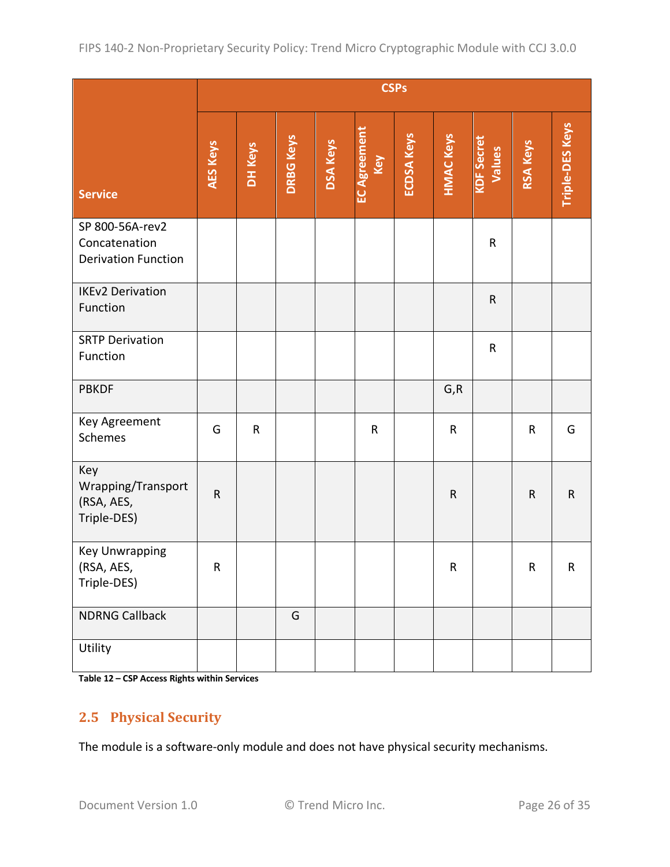|                                                                | <b>CSPs</b>     |           |                  |                 |                            |                   |                  |                             |                 |                        |
|----------------------------------------------------------------|-----------------|-----------|------------------|-----------------|----------------------------|-------------------|------------------|-----------------------------|-----------------|------------------------|
| <b>Service</b>                                                 | <b>AES Keys</b> | DH Keys   | <b>DRBG Keys</b> | <b>DSA Keys</b> | <b>EC Agreement</b><br>Key | <b>ECDSA Keys</b> | <b>HMAC Keys</b> | <b>KDF</b> Secret<br>Values | <b>RSA Keys</b> | <b>Triple-DES Keys</b> |
| SP 800-56A-rev2<br>Concatenation<br><b>Derivation Function</b> |                 |           |                  |                 |                            |                   |                  | ${\sf R}$                   |                 |                        |
| <b>IKEv2 Derivation</b><br>Function                            |                 |           |                  |                 |                            |                   |                  | $\mathsf R$                 |                 |                        |
| <b>SRTP Derivation</b><br>Function                             |                 |           |                  |                 |                            |                   |                  | ${\sf R}$                   |                 |                        |
| <b>PBKDF</b>                                                   |                 |           |                  |                 |                            |                   | G, R             |                             |                 |                        |
| Key Agreement<br>Schemes                                       | G               | ${\sf R}$ |                  |                 | ${\sf R}$                  |                   | ${\sf R}$        |                             | ${\sf R}$       | G                      |
| Key<br>Wrapping/Transport<br>(RSA, AES,<br>Triple-DES)         | $\mathsf{R}$    |           |                  |                 |                            |                   | ${\sf R}$        |                             | $\mathsf{R}$    | ${\sf R}$              |
| Key Unwrapping<br>(RSA, AES,<br>Triple-DES)                    | ${\sf R}$       |           |                  |                 |                            |                   | ${\sf R}$        |                             | ${\sf R}$       | $\mathsf R$            |
| <b>NDRNG Callback</b>                                          |                 |           | G                |                 |                            |                   |                  |                             |                 |                        |
| Utility                                                        |                 |           |                  |                 |                            |                   |                  |                             |                 |                        |

**Table 12 – CSP Access Rights within Services**

### **2.5 Physical Security**

The module is a software-only module and does not have physical security mechanisms.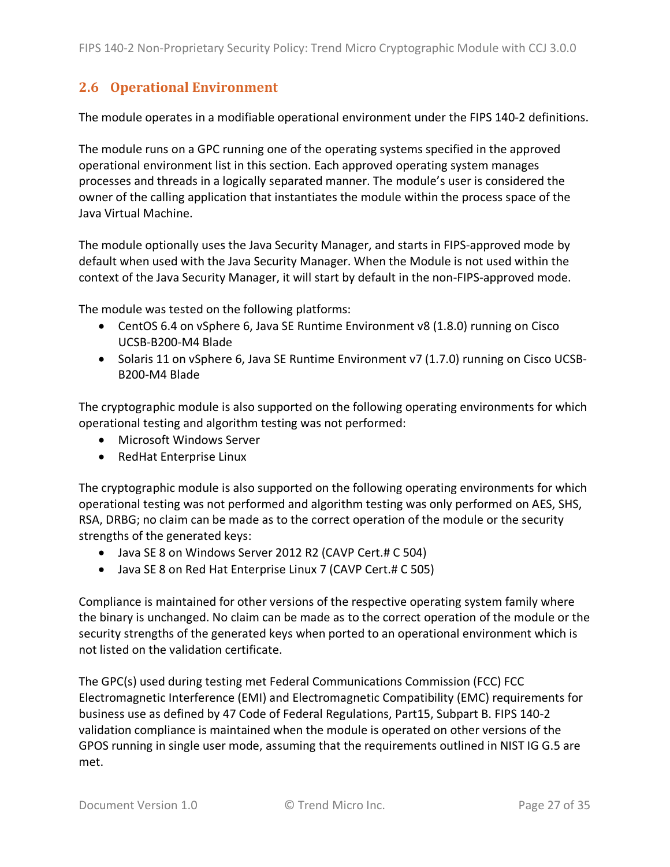## **2.6 Operational Environment**

The module operates in a modifiable operational environment under the FIPS 140-2 definitions.

The module runs on a GPC running one of the operating systems specified in the approved operational environment list in this section. Each approved operating system manages processes and threads in a logically separated manner. The module's user is considered the owner of the calling application that instantiates the module within the process space of the Java Virtual Machine.

The module optionally uses the Java Security Manager, and starts in FIPS-approved mode by default when used with the Java Security Manager. When the Module is not used within the context of the Java Security Manager, it will start by default in the non-FIPS-approved mode.

The module was tested on the following platforms:

- CentOS 6.4 on vSphere 6, Java SE Runtime Environment v8 (1.8.0) running on Cisco UCSB-B200-M4 Blade
- Solaris 11 on vSphere 6, Java SE Runtime Environment v7 (1.7.0) running on Cisco UCSB-B200-M4 Blade

The cryptographic module is also supported on the following operating environments for which operational testing and algorithm testing was not performed:

- Microsoft Windows Server
- RedHat Enterprise Linux

The cryptographic module is also supported on the following operating environments for which operational testing was not performed and algorithm testing was only performed on AES, SHS, RSA, DRBG; no claim can be made as to the correct operation of the module or the security strengths of the generated keys:

- Java SE 8 on Windows Server 2012 R2 (CAVP Cert.# C 504)
- Java SE 8 on Red Hat Enterprise Linux 7 (CAVP Cert.# C 505)

Compliance is maintained for other versions of the respective operating system family where the binary is unchanged. No claim can be made as to the correct operation of the module or the security strengths of the generated keys when ported to an operational environment which is not listed on the validation certificate.

The GPC(s) used during testing met Federal Communications Commission (FCC) FCC Electromagnetic Interference (EMI) and Electromagnetic Compatibility (EMC) requirements for business use as defined by 47 Code of Federal Regulations, Part15, Subpart B. FIPS 140-2 validation compliance is maintained when the module is operated on other versions of the GPOS running in single user mode, assuming that the requirements outlined in NIST IG G.5 are met.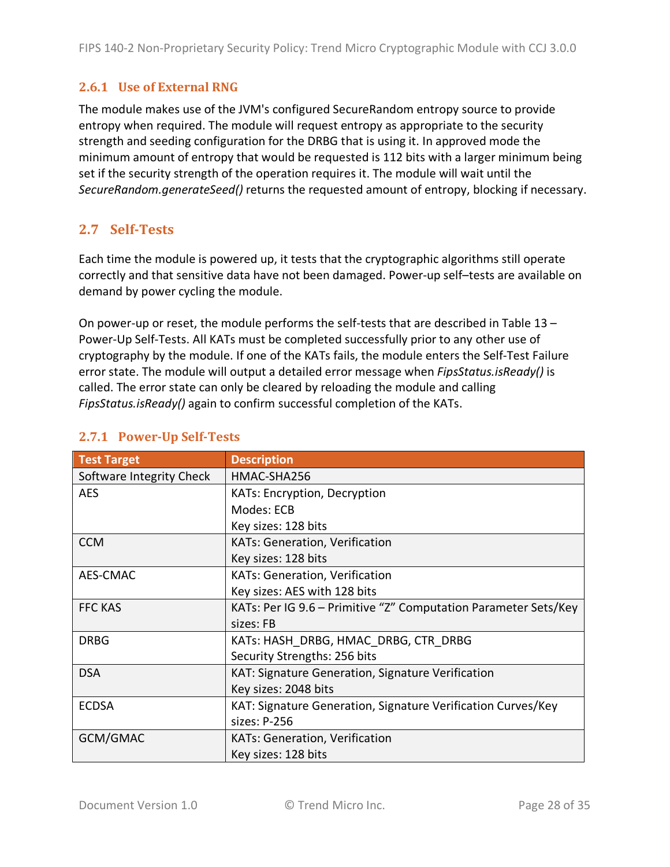### **2.6.1 <b>Use of External RNG**

The module makes use of the JVM's configured SecureRandom entropy source to provide entropy when required. The module will request entropy as appropriate to the security strength and seeding configuration for the DRBG that is using it. In approved mode the minimum amount of entropy that would be requested is 112 bits with a larger minimum being set if the security strength of the operation requires it. The module will wait until the *SecureRandom.generateSeed()* returns the requested amount of entropy, blocking if necessary.

## **2.7 Self-Tests**

Each time the module is powered up, it tests that the cryptographic algorithms still operate correctly and that sensitive data have not been damaged. Power-up self–tests are available on demand by power cycling the module.

On power-up or reset, the module performs the self-tests that are described in Table 13 – Power-Up Self-Tests. All KATs must be completed successfully prior to any other use of cryptography by the module. If one of the KATs fails, the module enters the Self-Test Failure error state. The module will output a detailed error message when *FipsStatus.isReady()* is called. The error state can only be cleared by reloading the module and calling *FipsStatus.isReady()* again to confirm successful completion of the KATs.

| <b>Test Target</b>       | <b>Description</b>                                              |
|--------------------------|-----------------------------------------------------------------|
| Software Integrity Check | HMAC-SHA256                                                     |
| <b>AES</b>               | KATs: Encryption, Decryption                                    |
|                          | Modes: ECB                                                      |
|                          | Key sizes: 128 bits                                             |
| <b>CCM</b>               | <b>KATs: Generation, Verification</b>                           |
|                          | Key sizes: 128 bits                                             |
| AES-CMAC                 | KATs: Generation, Verification                                  |
|                          | Key sizes: AES with 128 bits                                    |
| <b>FFC KAS</b>           | KATs: Per IG 9.6 – Primitive "Z" Computation Parameter Sets/Key |
|                          | sizes: FB                                                       |
| <b>DRBG</b>              | KATs: HASH DRBG, HMAC DRBG, CTR DRBG                            |
|                          | Security Strengths: 256 bits                                    |
| <b>DSA</b>               | KAT: Signature Generation, Signature Verification               |
|                          | Key sizes: 2048 bits                                            |
| <b>ECDSA</b>             | KAT: Signature Generation, Signature Verification Curves/Key    |
|                          | sizes: P-256                                                    |
| GCM/GMAC                 | <b>KATs: Generation, Verification</b>                           |
|                          | Key sizes: 128 bits                                             |

#### **2.7.1 Power-Up Self-Tests**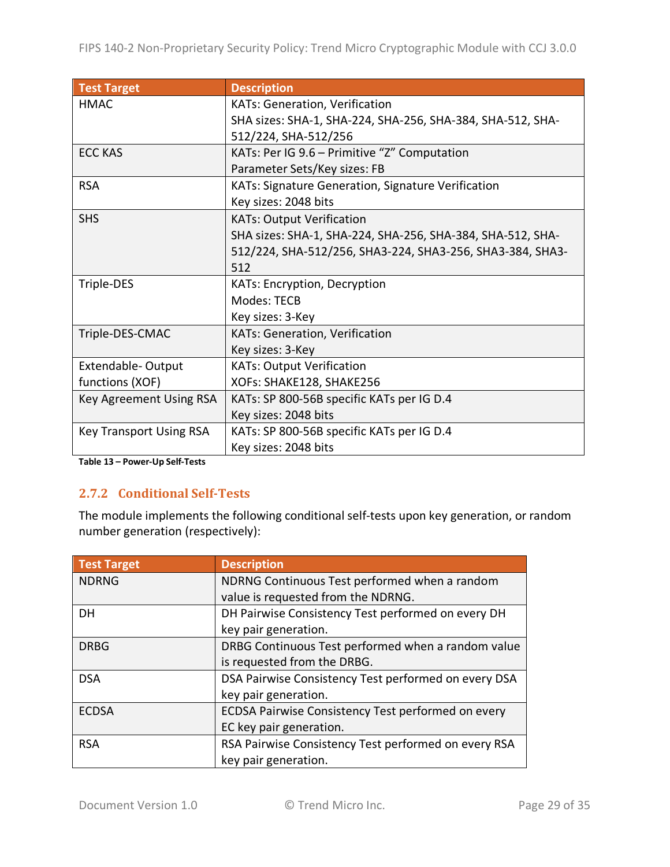| <b>Test Target</b>             | <b>Description</b>                                         |
|--------------------------------|------------------------------------------------------------|
| <b>HMAC</b>                    | <b>KATs: Generation, Verification</b>                      |
|                                | SHA sizes: SHA-1, SHA-224, SHA-256, SHA-384, SHA-512, SHA- |
|                                | 512/224, SHA-512/256                                       |
| <b>ECC KAS</b>                 | KATs: Per IG 9.6 - Primitive "Z" Computation               |
|                                | Parameter Sets/Key sizes: FB                               |
| <b>RSA</b>                     | KATs: Signature Generation, Signature Verification         |
|                                | Key sizes: 2048 bits                                       |
| <b>SHS</b>                     | <b>KATs: Output Verification</b>                           |
|                                | SHA sizes: SHA-1, SHA-224, SHA-256, SHA-384, SHA-512, SHA- |
|                                | 512/224, SHA-512/256, SHA3-224, SHA3-256, SHA3-384, SHA3-  |
|                                | 512                                                        |
| Triple-DES                     | <b>KATs: Encryption, Decryption</b>                        |
|                                | Modes: TECB                                                |
|                                | Key sizes: 3-Key                                           |
| Triple-DES-CMAC                | KATs: Generation, Verification                             |
|                                | Key sizes: 3-Key                                           |
| <b>Extendable-Output</b>       | <b>KATs: Output Verification</b>                           |
| functions (XOF)                | XOFs: SHAKE128, SHAKE256                                   |
| Key Agreement Using RSA        | KATs: SP 800-56B specific KATs per IG D.4                  |
|                                | Key sizes: 2048 bits                                       |
| <b>Key Transport Using RSA</b> | KATs: SP 800-56B specific KATs per IG D.4                  |
|                                | Key sizes: 2048 bits                                       |

**Table 13 – Power-Up Self-Tests**

#### **2.7.2 Conditional Self-Tests**

The module implements the following conditional self-tests upon key generation, or random number generation (respectively):

| <b>Test Target</b> | <b>Description</b>                                   |
|--------------------|------------------------------------------------------|
| <b>NDRNG</b>       | NDRNG Continuous Test performed when a random        |
|                    | value is requested from the NDRNG.                   |
| DH                 | DH Pairwise Consistency Test performed on every DH   |
|                    | key pair generation.                                 |
| <b>DRBG</b>        | DRBG Continuous Test performed when a random value   |
|                    | is requested from the DRBG.                          |
| <b>DSA</b>         | DSA Pairwise Consistency Test performed on every DSA |
|                    | key pair generation.                                 |
| <b>ECDSA</b>       | ECDSA Pairwise Consistency Test performed on every   |
|                    | EC key pair generation.                              |
| <b>RSA</b>         | RSA Pairwise Consistency Test performed on every RSA |
|                    | key pair generation.                                 |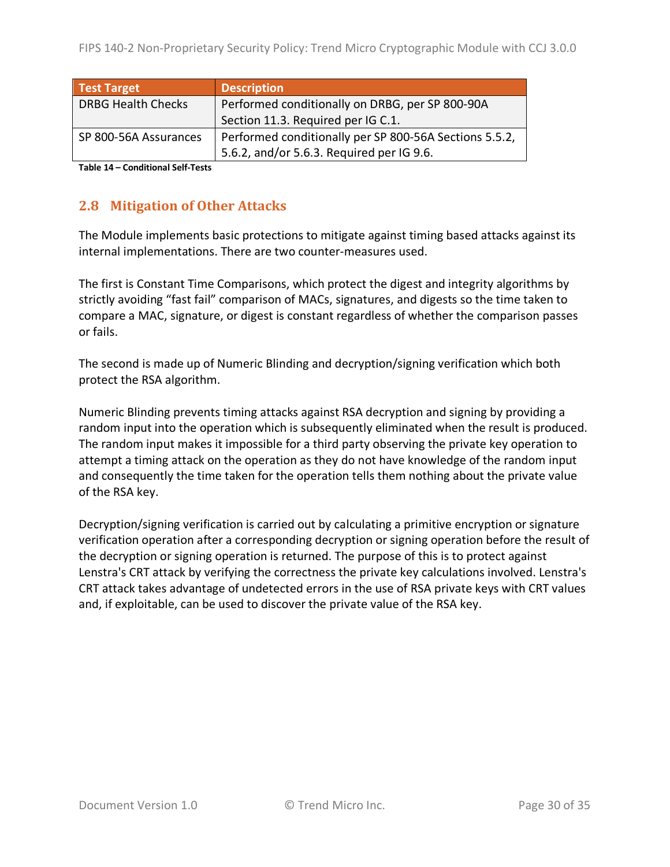| <b>Test Target</b>        | <b>Description</b>                                     |
|---------------------------|--------------------------------------------------------|
| <b>DRBG Health Checks</b> | Performed conditionally on DRBG, per SP 800-90A        |
|                           | Section 11.3. Required per IG C.1.                     |
| SP 800-56A Assurances     | Performed conditionally per SP 800-56A Sections 5.5.2, |
|                           | 5.6.2, and/or 5.6.3. Required per IG 9.6.              |

**Table 14 – Conditional Self-Tests**

### **2.8 Mitigation of Other Attacks**

The Module implements basic protections to mitigate against timing based attacks against its internal implementations. There are two counter-measures used.

The first is Constant Time Comparisons, which protect the digest and integrity algorithms by strictly avoiding "fast fail" comparison of MACs, signatures, and digests so the time taken to compare a MAC, signature, or digest is constant regardless of whether the comparison passes or fails.

The second is made up of Numeric Blinding and decryption/signing verification which both protect the RSA algorithm.

Numeric Blinding prevents timing attacks against RSA decryption and signing by providing a random input into the operation which is subsequently eliminated when the result is produced. The random input makes it impossible for a third party observing the private key operation to attempt a timing attack on the operation as they do not have knowledge of the random input and consequently the time taken for the operation tells them nothing about the private value of the RSA key.

Decryption/signing verification is carried out by calculating a primitive encryption or signature verification operation after a corresponding decryption or signing operation before the result of the decryption or signing operation is returned. The purpose of this is to protect against Lenstra's CRT attack by verifying the correctness the private key calculations involved. Lenstra's CRT attack takes advantage of undetected errors in the use of RSA private keys with CRT values and, if exploitable, can be used to discover the private value of the RSA key.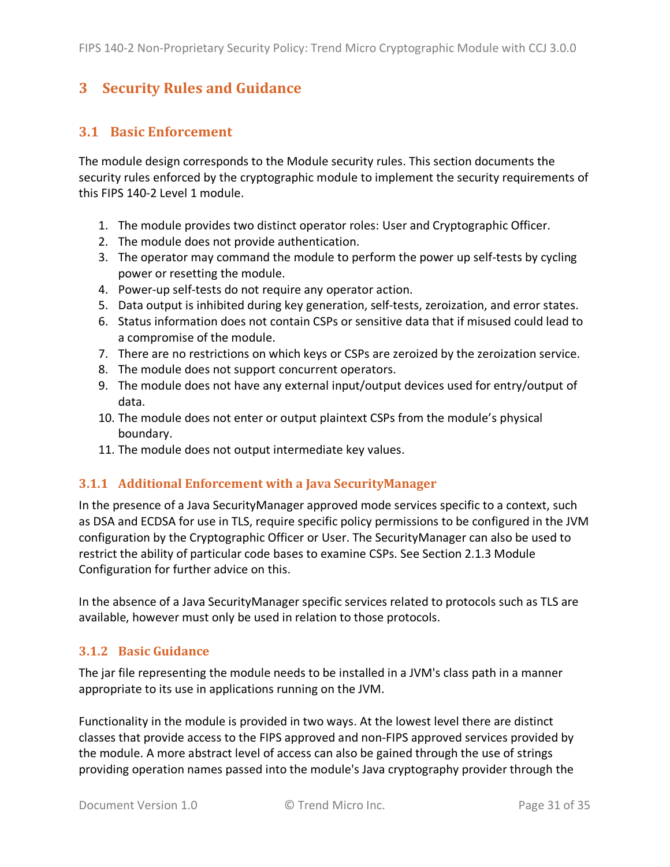## **3 Security Rules and Guidance**

#### **3.1 Basic Enforcement**

The module design corresponds to the Module security rules. This section documents the security rules enforced by the cryptographic module to implement the security requirements of this FIPS 140-2 Level 1 module.

- 1. The module provides two distinct operator roles: User and Cryptographic Officer.
- 2. The module does not provide authentication.
- 3. The operator may command the module to perform the power up self-tests by cycling power or resetting the module.
- 4. Power-up self-tests do not require any operator action.
- 5. Data output is inhibited during key generation, self-tests, zeroization, and error states.
- 6. Status information does not contain CSPs or sensitive data that if misused could lead to a compromise of the module.
- 7. There are no restrictions on which keys or CSPs are zeroized by the zeroization service.
- 8. The module does not support concurrent operators.
- 9. The module does not have any external input/output devices used for entry/output of data.
- 10. The module does not enter or output plaintext CSPs from the module's physical boundary.
- 11. The module does not output intermediate key values.

#### **3.1.1 Additional Enforcement with a Java SecurityManager**

In the presence of a Java SecurityManager approved mode services specific to a context, such as DSA and ECDSA for use in TLS, require specific policy permissions to be configured in the JVM configuration by the Cryptographic Officer or User. The SecurityManager can also be used to restrict the ability of particular code bases to examine CSPs. See Section 2.1.3 Module Configuration for further advice on this.

In the absence of a Java SecurityManager specific services related to protocols such as TLS are available, however must only be used in relation to those protocols.

#### **3.1.2 Basic Guidance**

The jar file representing the module needs to be installed in a JVM's class path in a manner appropriate to its use in applications running on the JVM.

Functionality in the module is provided in two ways. At the lowest level there are distinct classes that provide access to the FIPS approved and non-FIPS approved services provided by the module. A more abstract level of access can also be gained through the use of strings providing operation names passed into the module's Java cryptography provider through the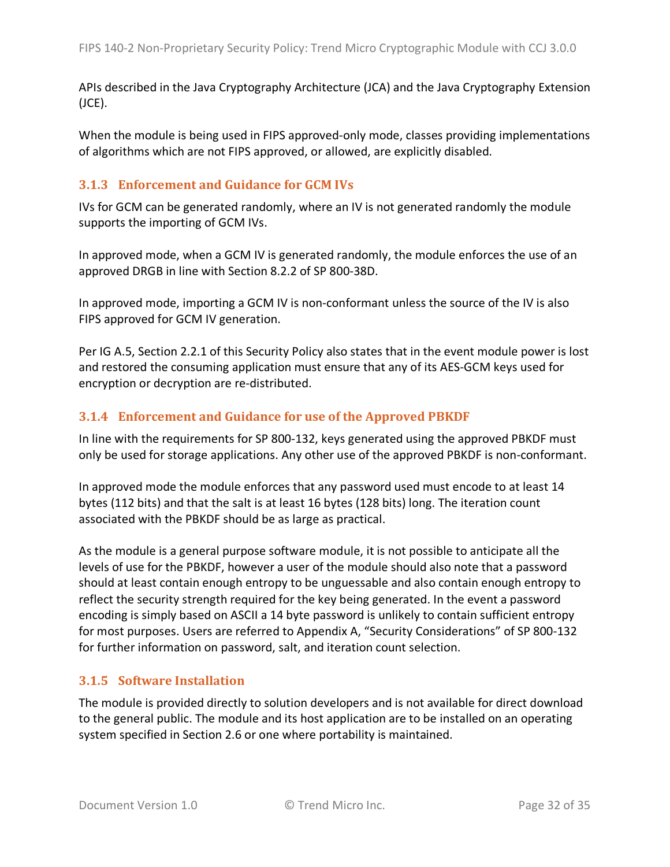APIs described in the Java Cryptography Architecture (JCA) and the Java Cryptography Extension (JCE).

When the module is being used in FIPS approved-only mode, classes providing implementations of algorithms which are not FIPS approved, or allowed, are explicitly disabled.

#### **3.1.3** Enforcement and Guidance for GCM IVs

IVs for GCM can be generated randomly, where an IV is not generated randomly the module supports the importing of GCM IVs.

In approved mode, when a GCM IV is generated randomly, the module enforces the use of an approved DRGB in line with Section 8.2.2 of SP 800-38D.

In approved mode, importing a GCM IV is non-conformant unless the source of the IV is also FIPS approved for GCM IV generation.

Per IG A.5, Section 2.2.1 of this Security Policy also states that in the event module power is lost and restored the consuming application must ensure that any of its AES-GCM keys used for encryption or decryption are re-distributed.

#### **3.1.4** Enforcement and Guidance for use of the Approved PBKDF

In line with the requirements for SP 800-132, keys generated using the approved PBKDF must only be used for storage applications. Any other use of the approved PBKDF is non-conformant.

In approved mode the module enforces that any password used must encode to at least 14 bytes (112 bits) and that the salt is at least 16 bytes (128 bits) long. The iteration count associated with the PBKDF should be as large as practical.

As the module is a general purpose software module, it is not possible to anticipate all the levels of use for the PBKDF, however a user of the module should also note that a password should at least contain enough entropy to be unguessable and also contain enough entropy to reflect the security strength required for the key being generated. In the event a password encoding is simply based on ASCII a 14 byte password is unlikely to contain sufficient entropy for most purposes. Users are referred to Appendix A, "Security Considerations" of SP 800-132 for further information on password, salt, and iteration count selection.

#### **3.1.5 Software Installation**

The module is provided directly to solution developers and is not available for direct download to the general public. The module and its host application are to be installed on an operating system specified in Section 2.6 or one where portability is maintained.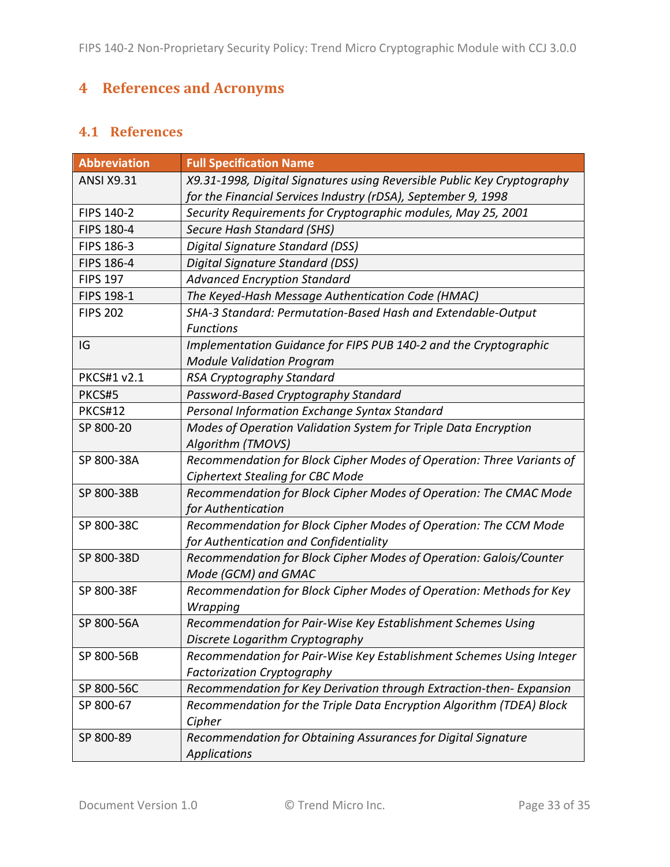## **4 References and Acronyms**

## **4.1 References**

| <b>Abbreviation</b> | <b>Full Specification Name</b>                                                                                                           |
|---------------------|------------------------------------------------------------------------------------------------------------------------------------------|
| <b>ANSI X9.31</b>   | X9.31-1998, Digital Signatures using Reversible Public Key Cryptography<br>for the Financial Services Industry (rDSA), September 9, 1998 |
| FIPS 140-2          | Security Requirements for Cryptographic modules, May 25, 2001                                                                            |
| FIPS 180-4          | Secure Hash Standard (SHS)                                                                                                               |
| FIPS 186-3          | Digital Signature Standard (DSS)                                                                                                         |
| FIPS 186-4          | Digital Signature Standard (DSS)                                                                                                         |
| <b>FIPS 197</b>     | <b>Advanced Encryption Standard</b>                                                                                                      |
| FIPS 198-1          | The Keyed-Hash Message Authentication Code (HMAC)                                                                                        |
| <b>FIPS 202</b>     | SHA-3 Standard: Permutation-Based Hash and Extendable-Output<br><b>Functions</b>                                                         |
| IG                  | Implementation Guidance for FIPS PUB 140-2 and the Cryptographic<br><b>Module Validation Program</b>                                     |
| <b>PKCS#1 v2.1</b>  | RSA Cryptography Standard                                                                                                                |
| PKCS#5              | Password-Based Cryptography Standard                                                                                                     |
| <b>PKCS#12</b>      | Personal Information Exchange Syntax Standard                                                                                            |
| SP 800-20           | Modes of Operation Validation System for Triple Data Encryption<br>Algorithm (TMOVS)                                                     |
| SP 800-38A          | Recommendation for Block Cipher Modes of Operation: Three Variants of<br><b>Ciphertext Stealing for CBC Mode</b>                         |
| SP 800-38B          | Recommendation for Block Cipher Modes of Operation: The CMAC Mode<br>for Authentication                                                  |
| SP 800-38C          | Recommendation for Block Cipher Modes of Operation: The CCM Mode<br>for Authentication and Confidentiality                               |
| SP 800-38D          | Recommendation for Block Cipher Modes of Operation: Galois/Counter<br>Mode (GCM) and GMAC                                                |
| SP 800-38F          | Recommendation for Block Cipher Modes of Operation: Methods for Key<br>Wrapping                                                          |
| SP 800-56A          | Recommendation for Pair-Wise Key Establishment Schemes Using<br>Discrete Logarithm Cryptography                                          |
| SP 800-56B          | Recommendation for Pair-Wise Key Establishment Schemes Using Integer<br><b>Factorization Cryptography</b>                                |
| SP 800-56C          | Recommendation for Key Derivation through Extraction-then-Expansion                                                                      |
| SP 800-67           | Recommendation for the Triple Data Encryption Algorithm (TDEA) Block<br>Cipher                                                           |
| SP 800-89           | Recommendation for Obtaining Assurances for Digital Signature<br><b>Applications</b>                                                     |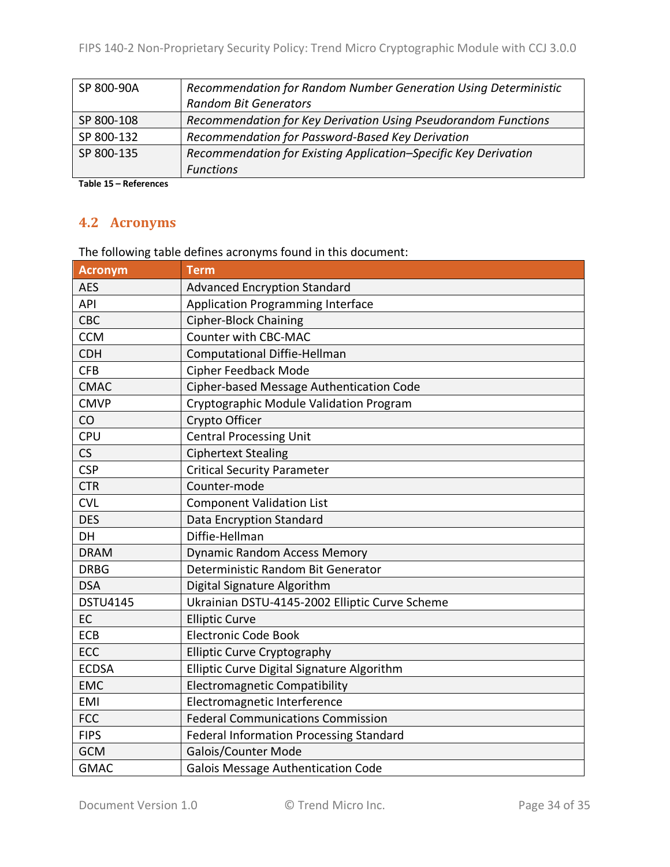| SP 800-90A | Recommendation for Random Number Generation Using Deterministic |
|------------|-----------------------------------------------------------------|
|            | <b>Random Bit Generators</b>                                    |
| SP 800-108 | Recommendation for Key Derivation Using Pseudorandom Functions  |
| SP 800-132 | Recommendation for Password-Based Key Derivation                |
| SP 800-135 | Recommendation for Existing Application-Specific Key Derivation |
|            | <b>Functions</b>                                                |

**Table 15 – References**

## **4.2 Acronyms**

The following table defines acronyms found in this document:

| <b>Acronym</b>  | <b>Term</b>                                    |
|-----------------|------------------------------------------------|
| <b>AES</b>      | <b>Advanced Encryption Standard</b>            |
| <b>API</b>      | <b>Application Programming Interface</b>       |
| <b>CBC</b>      | <b>Cipher-Block Chaining</b>                   |
| <b>CCM</b>      | <b>Counter with CBC-MAC</b>                    |
| <b>CDH</b>      | <b>Computational Diffie-Hellman</b>            |
| <b>CFB</b>      | Cipher Feedback Mode                           |
| <b>CMAC</b>     | Cipher-based Message Authentication Code       |
| <b>CMVP</b>     | Cryptographic Module Validation Program        |
| CO              | Crypto Officer                                 |
| <b>CPU</b>      | <b>Central Processing Unit</b>                 |
| CS              | <b>Ciphertext Stealing</b>                     |
| <b>CSP</b>      | <b>Critical Security Parameter</b>             |
| <b>CTR</b>      | Counter-mode                                   |
| <b>CVL</b>      | <b>Component Validation List</b>               |
| <b>DES</b>      | <b>Data Encryption Standard</b>                |
| DH              | Diffie-Hellman                                 |
| <b>DRAM</b>     | <b>Dynamic Random Access Memory</b>            |
| <b>DRBG</b>     | Deterministic Random Bit Generator             |
| <b>DSA</b>      | Digital Signature Algorithm                    |
| <b>DSTU4145</b> | Ukrainian DSTU-4145-2002 Elliptic Curve Scheme |
| EC              | <b>Elliptic Curve</b>                          |
| ECB             | <b>Electronic Code Book</b>                    |
| ECC             | <b>Elliptic Curve Cryptography</b>             |
| <b>ECDSA</b>    | Elliptic Curve Digital Signature Algorithm     |
| <b>EMC</b>      | <b>Electromagnetic Compatibility</b>           |
| <b>EMI</b>      | Electromagnetic Interference                   |
| <b>FCC</b>      | <b>Federal Communications Commission</b>       |
| <b>FIPS</b>     | <b>Federal Information Processing Standard</b> |
| <b>GCM</b>      | Galois/Counter Mode                            |
| <b>GMAC</b>     | <b>Galois Message Authentication Code</b>      |